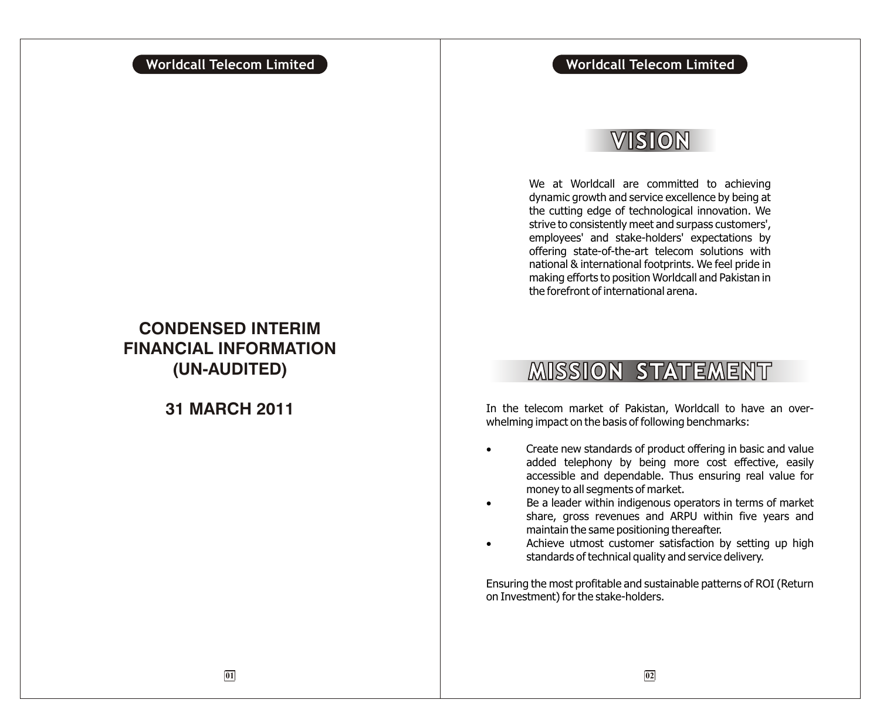# VISION

We at Worldcall are committed to achieving dynamic growth and service excellence by being at the cutting edge of technological innovation. We strive to consistently meet and surpass customers', employees' and stake-holders' expectations by offering state-of-the-art telecom solutions with national & international footprints. We feel pride in making efforts to position Worldcall and Pakistan in the forefront of international arena.

# **MISSION STATEMENT**

**31 MARCH 2011** In the telecom market of Pakistan, Worldcall to have an overwhelming impact on the basis of following benchmarks:

> Create new standards of product offering in basic and value added telephony by being more cost effective, easily accessible and dependable. Thus ensuring real value for money to all segments of market.

> Be a leader within indigenous operators in terms of market share, gross revenues and ARPU within five years and maintain the same positioning thereafter.

> Achieve utmost customer satisfaction by setting up high standards of technical quality and service delivery.

Ensuring the most profitable and sustainable patterns of ROI (Return on Investment) for the stake-holders.

# **CONDENSED INTERIM FINANCIAL INFORMATION (UN-AUDITED)**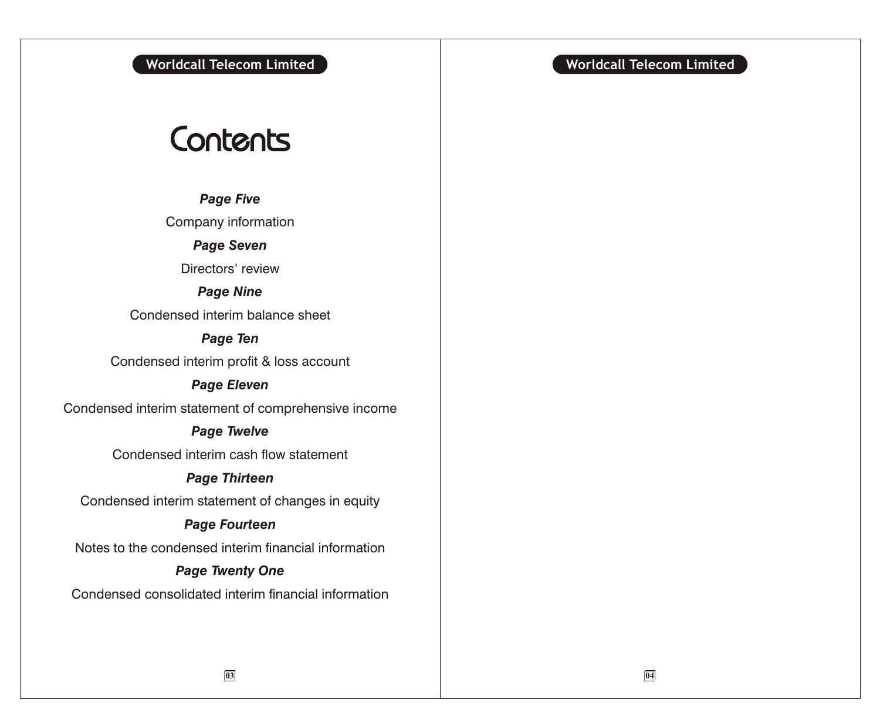# Contents

*Page Five*

Company information

*Page Seven*

Directors' review

*Page Nine*

Condensed interim balance sheet

*Page Ten*

Condensed interim profit & loss account

# *Page Eleven*

Condensed interim statement of comprehensive income

# *Page Twelve*

Condensed interim cash flow statement

# *Page Thirteen*

Condensed interim statement of changes in equity

# *Page Fourteen*

Notes to the condensed interim financial information

# *Page Twenty One*

Condensed consolidated interim financial information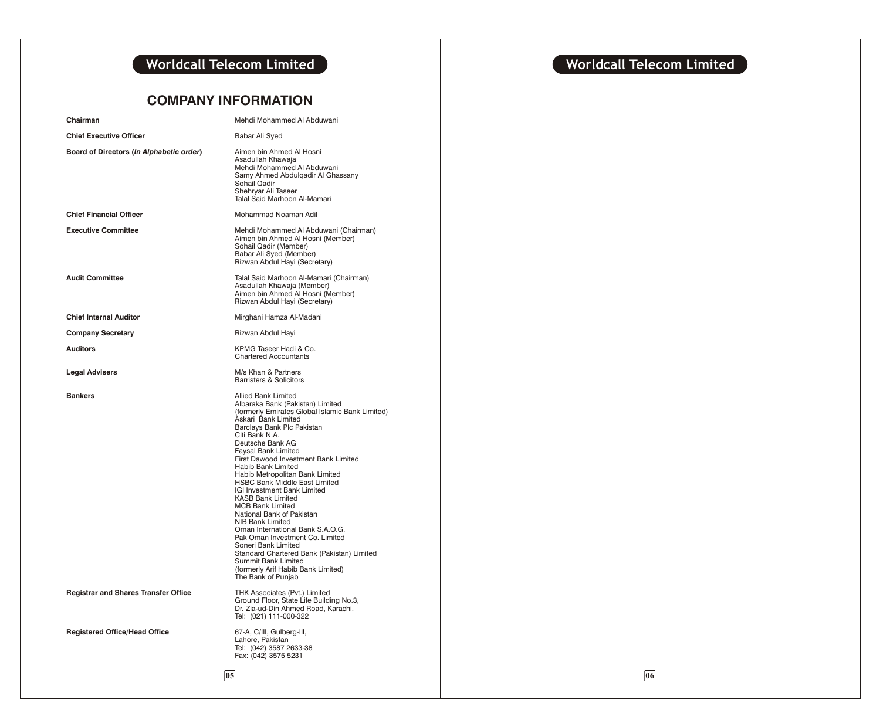# **COMPANY INFORMATION**

| Chairman                                    | Mehdi Mohammed Al Abduwani                                                                                                                                                                                                                                                                                                                                                                                                                                                                                                                                                                                                                                                                                                                                |  |
|---------------------------------------------|-----------------------------------------------------------------------------------------------------------------------------------------------------------------------------------------------------------------------------------------------------------------------------------------------------------------------------------------------------------------------------------------------------------------------------------------------------------------------------------------------------------------------------------------------------------------------------------------------------------------------------------------------------------------------------------------------------------------------------------------------------------|--|
| <b>Chief Executive Officer</b>              | Babar Ali Syed                                                                                                                                                                                                                                                                                                                                                                                                                                                                                                                                                                                                                                                                                                                                            |  |
| Board of Directors (In Alphabetic order)    | Aimen bin Ahmed Al Hosni<br>Asadullah Khawaia<br>Mehdi Mohammed Al Abduwani<br>Samy Ahmed Abdulgadir Al Ghassany<br>Sohail Qadir<br>Shehryar Ali Taseer<br>Talal Said Marhoon Al-Mamari                                                                                                                                                                                                                                                                                                                                                                                                                                                                                                                                                                   |  |
| <b>Chief Financial Officer</b>              | Mohammad Noaman Adil                                                                                                                                                                                                                                                                                                                                                                                                                                                                                                                                                                                                                                                                                                                                      |  |
| <b>Executive Committee</b>                  | Mehdi Mohammed Al Abduwani (Chairman)<br>Aimen bin Ahmed Al Hosni (Member)<br>Sohail Qadir (Member)<br>Babar Ali Syed (Member)<br>Rizwan Abdul Hayi (Secretary)                                                                                                                                                                                                                                                                                                                                                                                                                                                                                                                                                                                           |  |
| <b>Audit Committee</b>                      | Talal Said Marhoon Al-Mamari (Chairman)<br>Asadullah Khawaja (Member)<br>Aimen bin Ahmed Al Hosni (Member)<br>Rizwan Abdul Hayi (Secretary)                                                                                                                                                                                                                                                                                                                                                                                                                                                                                                                                                                                                               |  |
| <b>Chief Internal Auditor</b>               | Mirghani Hamza Al-Madani                                                                                                                                                                                                                                                                                                                                                                                                                                                                                                                                                                                                                                                                                                                                  |  |
| <b>Company Secretary</b>                    | Rizwan Abdul Hayi                                                                                                                                                                                                                                                                                                                                                                                                                                                                                                                                                                                                                                                                                                                                         |  |
| <b>Auditors</b>                             | KPMG Taseer Hadi & Co.<br><b>Chartered Accountants</b>                                                                                                                                                                                                                                                                                                                                                                                                                                                                                                                                                                                                                                                                                                    |  |
| <b>Legal Advisers</b>                       | M/s Khan & Partners<br><b>Barristers &amp; Solicitors</b>                                                                                                                                                                                                                                                                                                                                                                                                                                                                                                                                                                                                                                                                                                 |  |
| <b>Bankers</b>                              | <b>Allied Bank Limited</b><br>Albaraka Bank (Pakistan) Limited<br>(formerly Emirates Global Islamic Bank Limited)<br>Askari Bank Limited<br>Barclays Bank Plc Pakistan<br>Citi Bank N.A.<br>Deutsche Bank AG<br><b>Faysal Bank Limited</b><br>First Dawood Investment Bank Limited<br>Habib Bank Limited<br>Habib Metropolitan Bank Limited<br>HSBC Bank Middle East Limited<br>IGI Investment Bank Limited<br><b>KASB Bank Limited</b><br><b>MCB Bank Limited</b><br>National Bank of Pakistan<br><b>NIB Bank Limited</b><br>Oman International Bank S.A.O.G.<br>Pak Oman Investment Co. Limited<br>Soneri Bank Limited<br>Standard Chartered Bank (Pakistan) Limited<br>Summit Bank Limited<br>(formerly Arif Habib Bank Limited)<br>The Bank of Punjab |  |
| <b>Registrar and Shares Transfer Office</b> | THK Associates (Pvt.) Limited<br>Ground Floor, State Life Building No.3,<br>Dr. Zia-ud-Din Ahmed Road, Karachi.<br>Tel: (021) 111-000-322                                                                                                                                                                                                                                                                                                                                                                                                                                                                                                                                                                                                                 |  |
| <b>Registered Office/Head Office</b>        | 67-A, C/III, Gulberg-III,<br>Lahore, Pakistan<br>Tel: (042) 3587 2633-38<br>Fax: (042) 3575 5231                                                                                                                                                                                                                                                                                                                                                                                                                                                                                                                                                                                                                                                          |  |
|                                             | 05                                                                                                                                                                                                                                                                                                                                                                                                                                                                                                                                                                                                                                                                                                                                                        |  |

# **Worldcall Telecom Limited Worldcall Telecom Limited**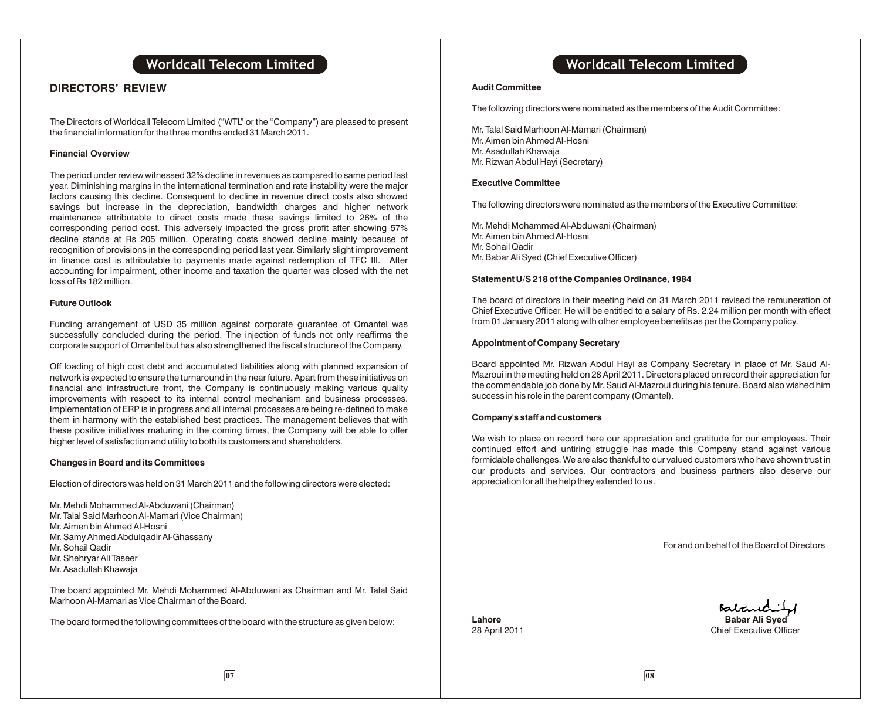# **DIRECTORS' REVIEW**

The Directors of Worldcall Telecom Limited ("WTL" or the "Company") are pleased to present the financial information for the three months ended 31 March 2011.

#### **Financial Overview**

The period under review witnessed 32% decline in revenues as compared to same period last year. Diminishing margins in the international termination and rate instability were the major factors causing this decline. Consequent to decline in revenue direct costs also showed savings but increase in the depreciation, bandwidth charges and higher network maintenance attributable to direct costs made these savings limited to 26% of the corresponding period cost. This adversely impacted the gross profit after showing 57% decline stands at Rs 205 million. Operating costs showed decline mainly because of recognition of provisions in the corresponding period last year. Similarly slight improvement in finance cost is attributable to payments made against redemption of TFC III. After accounting for impairment, other income and taxation the quarter was closed with the net loss of Rs 182 million.

#### **Future Outlook**

Funding arrangement of USD 35 million against corporate guarantee of Omantel was successfully concluded during the period. The injection of funds not only reaffirms the corporate support of Omantel but has also strengthened the fiscal structure of the Company.

Off loading of high cost debt and accumulated liabilities along with planned expansion of network is expected to ensure the turnaround in the near future. Apart from these initiatives on financial and infrastructure front, the Company is continuously making various quality improvements with respect to its internal control mechanism and business processes. Implementation of ERP is in progress and all internal processes are being re-defined to make them in harmony with the established best practices. The management believes that with these positive initiatives maturing in the coming times, the Company will be able to offer higher level of satisfaction and utility to both its customers and shareholders.

#### **Changes in Board and its Committees**

Election of directors was held on 31 March 2011 and the following directors were elected:

- Mr. Mehdi Mohammed Al-Abduwani (Chairman) Mr. Talal Said Marhoon Al-Mamari (Vice Chairman) Mr. Aimen bin Ahmed Al-Hosni Mr. Samy Ahmed Abdulqadir Al-Ghassany
- Mr. Sohail Qadir
- Mr. Shehryar Ali Taseer
- Mr. Asadullah Khawaja

The board appointed Mr. Mehdi Mohammed Al-Abduwani as Chairman and Mr. Talal Said Marhoon Al-Mamari as Vice Chairman of the Board.

The board formed the following committees of the board with the structure as given below:

# **Worldcall Telecom Limited Worldcall Telecom Limited**

#### **Audit Committee**

The following directors were nominated as the members of the Audit Committee:

Mr. Talal Said Marhoon Al-Mamari (Chairman) Mr. Aimen bin Ahmed Al-Hosni Mr. Asadullah Khawaja Mr. Rizwan Abdul Hayi (Secretary)

#### **Executive Committee**

The following directors were nominated as the members of the Executive Committee:

Mr. Mehdi Mohammed Al-Abduwani (Chairman) Mr. Aimen bin Ahmed Al-Hosni Mr. Sohail Qadir Mr. Babar Ali Syed (Chief Executive Officer)

#### **Statement U/S 218 of the Companies Ordinance, 1984**

The board of directors in their meeting held on 31 March 2011 revised the remuneration of Chief Executive Officer. He will be entitled to a salary of Rs. 2.24 million per month with effect from 01 January 2011 along with other employee benefits as per the Company policy.

#### **Appointment of Company Secretary**

Board appointed Mr. Rizwan Abdul Hayi as Company Secretary in place of Mr. Saud Al-Mazroui in the meeting held on 28 April 2011. Directors placed on record their appreciation for the commendable job done by Mr. Saud Al-Mazroui during his tenure. Board also wished him success in his role in the parent company (Omantel).

#### **Company's staff and customers**

We wish to place on record here our appreciation and gratitude for our employees. Their continued effort and untiring struggle has made this Company stand against various formidable challenges. We are also thankful to our valued customers who have shown trust in our products and services. Our contractors and business partners also deserve our appreciation for all the help they extended to us.

For and on behalf of the Board of Directors

Babaric **Lahore Babar Ali Syed** 28 April 2011 **Chief Executive Officer**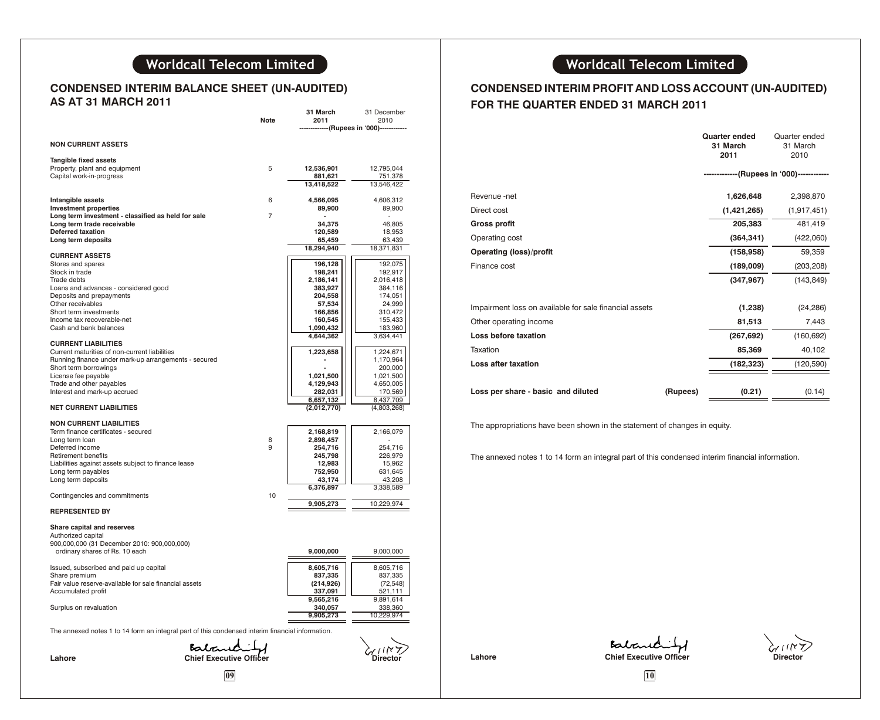# **CONDENSED INTERIM BALANCE SHEET (UN-AUDITED) AS AT 31 MARCH 2011**

|                                                                                                  | Note           | 31 March<br>2011     | 31 December<br>2010  |                                                        |
|--------------------------------------------------------------------------------------------------|----------------|----------------------|----------------------|--------------------------------------------------------|
|                                                                                                  |                |                      | -(Rupees in '000)-   |                                                        |
| <b>NON CURRENT ASSETS</b>                                                                        |                |                      |                      |                                                        |
| Tangible fixed assets                                                                            |                |                      |                      |                                                        |
| Property, plant and equipment                                                                    | 5              | 12.536.901           | 12.795.044           |                                                        |
| Capital work-in-progress                                                                         |                | 881,621              | 751,378              |                                                        |
|                                                                                                  |                | 13,418,522           | 13,546,422           |                                                        |
| Intangible assets                                                                                | 6              | 4,566,095            | 4,606,312            | Revenue -net                                           |
| <b>Investment properties</b>                                                                     |                | 89,900               | 89,900               | Direct cost                                            |
| Long term investment - classified as held for sale                                               | $\overline{7}$ |                      |                      |                                                        |
| Long term trade receivable<br><b>Deferred taxation</b>                                           |                | 34,375<br>120,589    | 46,805               | <b>Gross profit</b>                                    |
| Long term deposits                                                                               |                | 65,459               | 18,953<br>63,439     | Operating cost                                         |
|                                                                                                  |                | 18,294,940           | 18,371,831           | <b>Operating (loss)/profit</b>                         |
| <b>CURRENT ASSETS</b>                                                                            |                |                      |                      |                                                        |
| Stores and spares<br>Stock in trade                                                              |                | 196,128<br>198,241   | 192,075<br>192,917   | Finance cost                                           |
| Trade debts                                                                                      |                | 2,186,141            | 2,016,418            |                                                        |
| Loans and advances - considered good                                                             |                | 383,927              | 384,116              |                                                        |
| Deposits and prepayments                                                                         |                | 204,558              | 174,051              |                                                        |
| Other receivables                                                                                |                | 57,534               | 24,999               | Impairment loss on available for sale financial assets |
| Short term investments<br>Income tax recoverable-net                                             |                | 166,856<br>160,545   | 310,472<br>155,433   |                                                        |
| Cash and bank balances                                                                           |                | 1,090,432            | 183,960              | Other operating income                                 |
|                                                                                                  |                | 4,644,362            | 3,634,441            | Loss before taxation                                   |
| <b>CURRENT LIABILITIES</b><br>Current maturities of non-current liabilities                      |                | 1,223,658            | 1,224,671            | Taxation                                               |
| Running finance under mark-up arrangements - secured                                             |                |                      | 1,170,964            |                                                        |
| Short term borrowings                                                                            |                |                      | 200,000              | Loss after taxation                                    |
| License fee payable                                                                              |                | 1,021,500            | 1,021,500            |                                                        |
| Trade and other payables<br>Interest and mark-up accrued                                         |                | 4,129,943<br>282,031 | 4,650,005<br>170,569 | Loss per share - basic and diluted                     |
|                                                                                                  |                | 6,657,132            | 8,437,709            |                                                        |
| <b>NET CURRENT LIABILITIES</b>                                                                   |                | (2,012,770)          | (4,803,268)          |                                                        |
|                                                                                                  |                |                      |                      |                                                        |
| <b>NON CURRENT LIABILITIES</b><br>Term finance certificates - secured                            |                | 2,168,819            | 2,166,079            | The appropriations have been shown in the statemen     |
| Long term loan                                                                                   | 8              | 2,898,457            |                      |                                                        |
| Deferred income                                                                                  | 9              | 254,716              | 254,716              |                                                        |
| Retirement benefits                                                                              |                | 245,798              | 226,979              | The annexed notes 1 to 14 form an integral part of thi |
| Liabilities against assets subject to finance lease<br>Long term payables                        |                | 12,983<br>752,950    | 15,962<br>631,645    |                                                        |
| Long term deposits                                                                               |                | 43,174               | 43,208               |                                                        |
|                                                                                                  |                | 6,376,897            | 3,338,589            |                                                        |
| Contingencies and commitments                                                                    | 10             |                      |                      |                                                        |
| <b>REPRESENTED BY</b>                                                                            |                | 9,905,273            | 10,229,974           |                                                        |
| Share capital and reserves                                                                       |                |                      |                      |                                                        |
| Authorized capital                                                                               |                |                      |                      |                                                        |
| 900,000,000 (31 December 2010: 900,000,000)                                                      |                |                      |                      |                                                        |
| ordinary shares of Rs. 10 each                                                                   |                | 9,000,000            | 9,000,000            |                                                        |
| Issued, subscribed and paid up capital                                                           |                | 8,605,716            | 8,605,716            |                                                        |
| Share premium                                                                                    |                | 837,335              | 837,335              |                                                        |
| Fair value reserve-available for sale financial assets                                           |                | (214, 926)           | (72, 548)            |                                                        |
| Accumulated profit                                                                               |                | 337,091<br>9,565,216 | 521,111<br>9,891,614 |                                                        |
| Surplus on revaluation                                                                           |                | 340,057              | 338,360              |                                                        |
|                                                                                                  |                | 9,905,273            | 10,229,974           |                                                        |
| The annexed notes 1 to 14 form an integral part of this condensed interim financial information. |                |                      |                      |                                                        |
|                                                                                                  |                |                      |                      |                                                        |
| Babaradie                                                                                        |                |                      |                      | Batary                                                 |
| Lahore                                                                                           |                |                      | Directol             | <b>Chief Executiv</b><br>Lahore                        |
|                                                                                                  |                |                      |                      |                                                        |
| 09                                                                                               |                |                      |                      | 10                                                     |

# **CONDENSED INTERIM PROFIT AND LOSS ACCOUNT (UN-AUDITED) FOR THE QUARTER ENDED 31 MARCH 2011**

|                                                        |          | <b>Quarter ended</b><br>31 March<br>2011  | Quarter ended<br>31 March<br>2010 |
|--------------------------------------------------------|----------|-------------------------------------------|-----------------------------------|
|                                                        |          | -------------(Rupees in '000)------------ |                                   |
| Revenue -net                                           |          | 1,626,648                                 | 2,398,870                         |
| Direct cost                                            |          | (1,421,265)                               | (1, 917, 451)                     |
| Gross profit                                           |          | 205,383                                   | 481,419                           |
| Operating cost                                         |          | (364, 341)                                | (422,060)                         |
| <b>Operating (loss)/profit</b>                         |          | (158, 958)                                | 59,359                            |
| Finance cost                                           |          | (189,009)                                 | (203, 208)                        |
|                                                        |          | (347, 967)                                | (143, 849)                        |
| Impairment loss on available for sale financial assets |          | (1,238)                                   | (24, 286)                         |
| Other operating income                                 |          | 81,513                                    | 7,443                             |
| Loss before taxation                                   |          | (267, 692)                                | (160, 692)                        |
| Taxation                                               |          | 85,369                                    | 40,102                            |
| <b>Loss after taxation</b>                             |          | (182, 323)                                | (120, 590)                        |
| Loss per share - basic and diluted                     | (Rupees) | (0.21)                                    | (0.14)                            |
|                                                        |          |                                           |                                   |

The appropriations have been shown in the statement of changes in equity.

The annexed notes 1 to 14 form an integral part of this condensed interim financial information.

Lahore **Chief Executive Officer** Director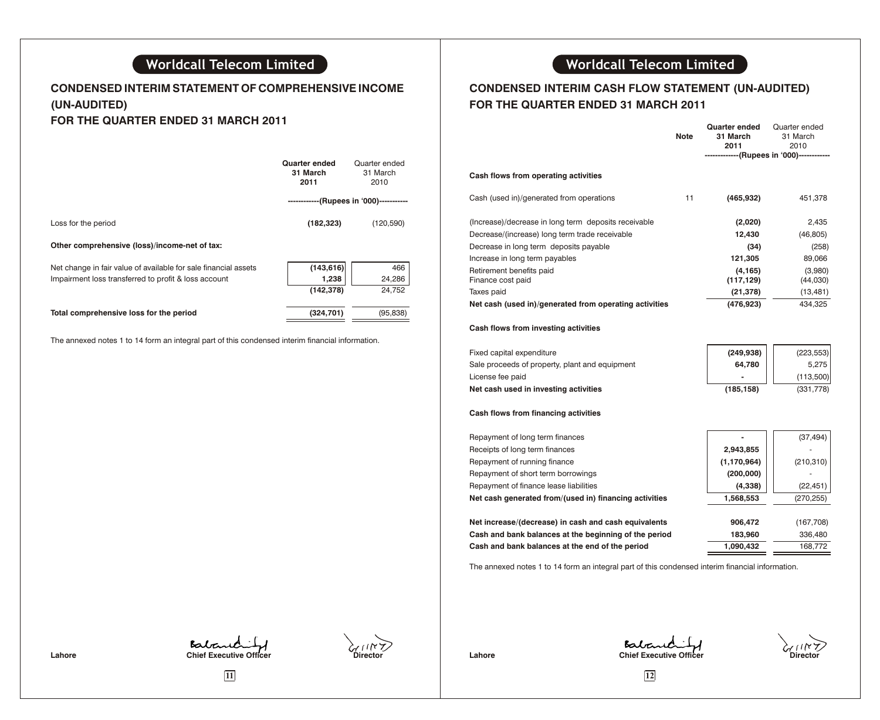# **CONDENSED INTERIM STATEMENT OF COMPREHENSIVE INCOME (UN-AUDITED) FOR THE QUARTER ENDED 31 MARCH 2011**

|                                                                 | Quarter ended<br>31 March<br>2011 | Quarter ended<br>31 March<br>2010 |
|-----------------------------------------------------------------|-----------------------------------|-----------------------------------|
|                                                                 |                                   | --(Rupees in '000)------------    |
| Loss for the period                                             | (182, 323)                        | (120, 590)                        |
| Other comprehensive (loss)/income-net of tax:                   |                                   |                                   |
| Net change in fair value of available for sale financial assets | (143, 616)                        | 466                               |
| Impairment loss transferred to profit & loss account            | 1,238                             | 24,286                            |
|                                                                 | (142, 378)                        | 24.752                            |
| Total comprehensive loss for the period                         | (324, 701)                        | (95, 838)                         |

The annexed notes 1 to 14 form an integral part of this condensed interim financial information.

# **CONDENSED INTERIM CASH FLOW STATEMENT (UN-AUDITED) FOR THE QUARTER ENDED 31 MARCH 2011**

|                                                        | <b>Note</b> | <b>Quarter ended</b><br>31 March<br>2011 | Quarter ended<br>31 March<br>2010         |
|--------------------------------------------------------|-------------|------------------------------------------|-------------------------------------------|
|                                                        |             |                                          | -------------(Rupees in '000)------------ |
| Cash flows from operating activities                   |             |                                          |                                           |
| Cash (used in)/generated from operations               | 11          | (465, 932)                               | 451,378                                   |
| (Increase)/decrease in long term deposits receivable   |             | (2,020)                                  | 2,435                                     |
| Decrease/(increase) long term trade receivable         |             | 12,430                                   | (46, 805)                                 |
| Decrease in long term deposits payable                 |             | (34)                                     | (258)                                     |
| Increase in long term payables                         |             | 121,305                                  | 89,066                                    |
| Retirement benefits paid<br>Finance cost paid          |             | (4, 165)<br>(117, 129)                   | (3,980)<br>(44,030)                       |
| Taxes paid                                             |             | (21,378)                                 | (13, 481)                                 |
| Net cash (used in)/generated from operating activities |             | (476, 923)                               | 434,325                                   |
| Cash flows from investing activities                   |             |                                          |                                           |
| Fixed capital expenditure                              |             | (249, 938)                               | (223, 553)                                |
| Sale proceeds of property, plant and equipment         |             | 64,780                                   | 5,275                                     |
| License fee paid                                       |             |                                          | (113,500)                                 |
| Net cash used in investing activities                  |             | (185, 158)                               | (331,778)                                 |
| Cash flows from financing activities                   |             |                                          |                                           |
| Repayment of long term finances                        |             |                                          | (37, 494)                                 |
| Receipts of long term finances                         |             | 2,943,855                                |                                           |
| Repayment of running finance                           |             | (1, 170, 964)                            | (210, 310)                                |
| Repayment of short term borrowings                     |             | (200,000)                                |                                           |
| Repayment of finance lease liabilities                 |             | (4, 338)                                 | (22, 451)                                 |
| Net cash generated from/(used in) financing activities |             | 1,568,553                                | (270, 255)                                |
|                                                        |             |                                          |                                           |
| Net increase/(decrease) in cash and cash equivalents   |             | 906,472                                  | (167, 708)                                |
| Cash and bank balances at the beginning of the period  |             | 183,960                                  | 336,480                                   |
| Cash and bank balances at the end of the period        |             | 1,090,432                                | 168,772                                   |

The annexed notes 1 to 14 form an integral part of this condensed interim financial information.

**Chief Executive Officer Chief Executive Officer Chief Executive Officer** 

Lahore **Chief Executive Officer** Director

**11 12**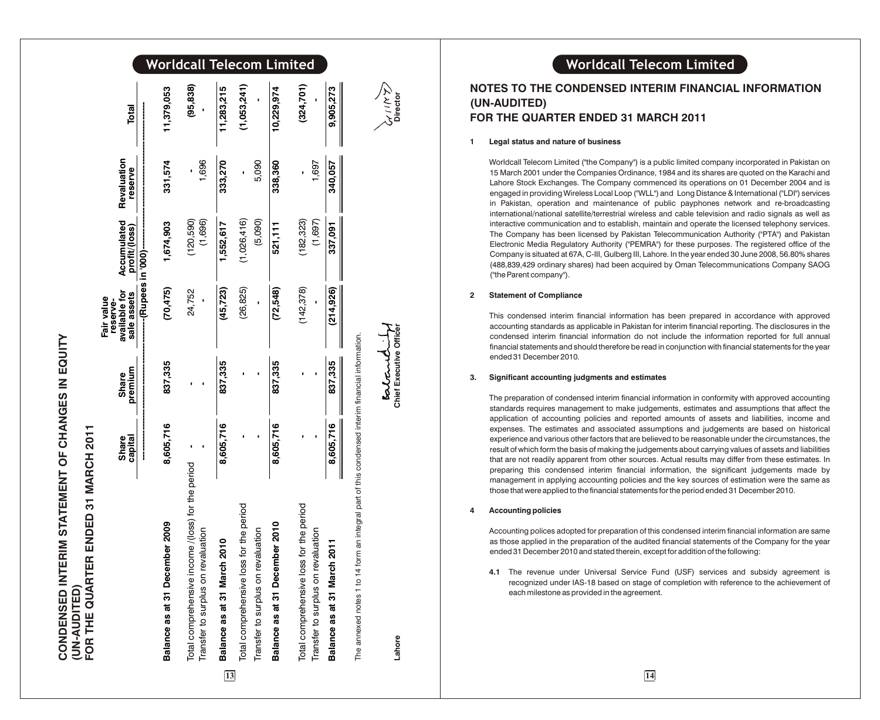# Worldcall Telecom Limited

|                                                                                                                                                                                                                               | Share<br>capital         | premium<br><b>Share</b> | available for<br>sale assets | Accumulated<br>profit/(loss) | Revaluation<br>reserve | Total       |
|-------------------------------------------------------------------------------------------------------------------------------------------------------------------------------------------------------------------------------|--------------------------|-------------------------|------------------------------|------------------------------|------------------------|-------------|
|                                                                                                                                                                                                                               | <br> <br> <br> <br> <br> |                         |                              |                              |                        |             |
| Balance as at 31 December 2009                                                                                                                                                                                                | 8,605,716                | 837,335                 | (70, 475)                    | 1,674,903                    | 331,574                | 11,379,053  |
| income /(loss) for the period<br>revaluation<br>Transfer to surplus on<br>Total comprehensive                                                                                                                                 |                          |                         | 24,752                       | (1,696)<br>(120,590)         | 1696                   | (95, 838)   |
| Balance as at 31 March 2010                                                                                                                                                                                                   | 8,605,716                | 837,335                 | (45, 723)                    | 1,552,617                    | 333,270                | 11,283,215  |
| oss for the period<br>Total comprehensive                                                                                                                                                                                     |                          |                         | (26, 825)                    | (1,026,416)                  |                        | (1,053,241) |
| Transfer to surplus on revaluation                                                                                                                                                                                            |                          |                         |                              | (5,090)                      | 5,090                  |             |
| Balance as at 31 December 2010                                                                                                                                                                                                | 8,605,716                | 837,335                 | (72,548)                     | 521,111                      | 338,360                | 10,229,974  |
| loss for the period<br>Total comprehensive                                                                                                                                                                                    |                          |                         | (142, 378)                   | (182, 323)                   |                        | (324, 701)  |
| Transfer to surplus on revaluation                                                                                                                                                                                            |                          |                         |                              | (1,697)                      | 1,697                  |             |
| rch 2011<br>Balance as at 31 Mar                                                                                                                                                                                              | 8,605,716                | 837,335                 | (214, 926)                   | 337,091                      | 340,057                | 9,905,273   |
| contrast from the contrast of the fact of the state of the state of the resource of the contrast of the contrast of the resource of the resource of the resource of the resource of the resource of the resource of the resou |                          |                         |                              |                              |                        |             |

**1 3**

**CONDENSED INTERIM STATEMENT OF CHANGES IN EQUITY**

CONDENSED INTERIM STATEMENT OF CHANGES IN EQUITY

**(UN-AUDITED)**

**FOR THE QUARTER ENDED 31 MARCH 2011**

(UN-AUDITED)<br>FOR THE QUARTER ENDED 31 MARCH 2011

**Fair value reserve-**

The annexed notes 1 to 14 form an integral part of this condensed interim financial information. o

# **Lahore Chief Executive Officer Director**

Chief Executive Office

Lahore

Eatant

# Worldcall Telecom Limited

# **NOTES TO THE CONDENSED INTERIM FINANCIAL INFORMATION (UN-AUDITED) FOR THE QUARTER ENDED 31 MARCH 2011**

#### **1 Legal status and nature of business**

Worldcall Telecom Limited ("the Company") is a public limited company incorporated in Pakistan on 15 March 2001 under the Companies Ordinance, 1984 and its shares are quoted on the Karachi and Lahore Stock Exchanges. The Company commenced its operations on 01 December 2004 and is engaged in providing Wireless Local Loop ("WLL") and Long Distance & International ("LDI") services in Pakistan, operation and maintenance of public payphones network and re-broadcasting international/national satellite/terrestrial wireless and cable television and radio signals as well as interactive communication and to establish, maintain and operate the licensed telephony services. The Company has been licensed by Pakistan Telecommunication Authority ("PTA") and Pakistan Electronic Media Regulatory Authority ("PEMRA") for these purposes. The registered office of the Company is situated at 67A, C-III, Gulberg III, Lahore. In the year ended 30 June 2008, 56.80% shares (488,839,429 ordinary shares) had been acquired by Oman Telecommunications Company SAOG ("the Parent company").

#### **2 Statement of Compliance**

This condensed interim financial information has been prepared in accordance with approved accounting standards as applicable in Pakistan for interim financial reporting. The disclosures in the condensed interim financial information do not include the information reported for full annual financial statements and should therefore be read in conjunction with financial statements for the year ended 31 December 2010.

#### **3. Significant accounting judgments and estimates**

The preparation of condensed interim financial information in conformity with approved accounting standards requires management to make judgements, estimates and assumptions that affect the application of accounting policies and reported amounts of assets and liabilities, income and expenses. The estimates and associated assumptions and judgements are based on historical experience and various other factors that are believed to be reasonable under the circumstances, the result of which form the basis of making the judgements about carrying values of assets and liabilities that are not readily apparent from other sources. Actual results may differ from these estimates. In preparing this condensed interim financial information, the significant judgements made by management in applying accounting policies and the key sources of estimation were the same as those that were applied to the financial statements for the period ended 31 December 2010.

#### **4 Accounting policies**

Accounting polices adopted for preparation of this condensed interim financial information are same as those applied in the preparation of the audited financial statements of the Company for the year ended 31 December 2010 and stated therein, except for addition of the following:

**4.1** The revenue under Universal Service Fund (USF) services and subsidy agreement is recognized under IAS-18 based on stage of completion with reference to the achievement of each milestone as provided in the agreement.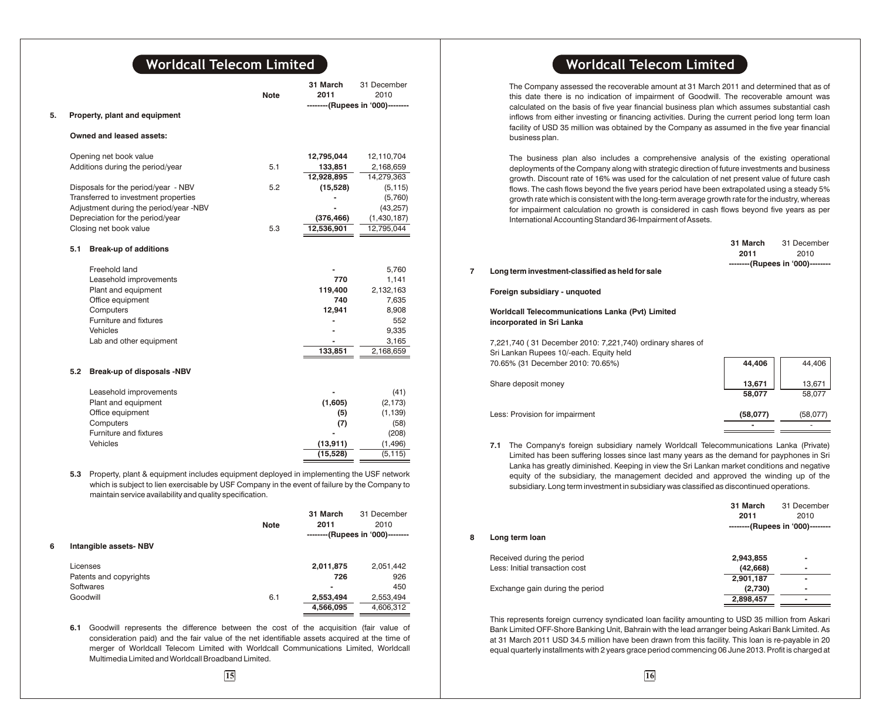|    |     |                                                                                                                                                                                                                                                      | <b>Note</b> | 31 March<br>2011 | 31 December<br>2010              |
|----|-----|------------------------------------------------------------------------------------------------------------------------------------------------------------------------------------------------------------------------------------------------------|-------------|------------------|----------------------------------|
| 5. |     | Property, plant and equipment                                                                                                                                                                                                                        |             |                  | --------(Rupees in '000)-------- |
|    |     |                                                                                                                                                                                                                                                      |             |                  |                                  |
|    |     | Owned and leased assets:                                                                                                                                                                                                                             |             |                  |                                  |
|    |     | Opening net book value                                                                                                                                                                                                                               |             | 12,795,044       | 12,110,704                       |
|    |     | Additions during the period/year                                                                                                                                                                                                                     | 5.1         | 133,851          | 2,168,659                        |
|    |     |                                                                                                                                                                                                                                                      |             | 12,928,895       | 14,279,363                       |
|    |     | Disposals for the period/year - NBV                                                                                                                                                                                                                  | 5.2         | (15, 528)        | (5, 115)                         |
|    |     | Transferred to investment properties                                                                                                                                                                                                                 |             |                  | (5,760)                          |
|    |     | Adjustment during the period/year -NBV                                                                                                                                                                                                               |             |                  | (43, 257)                        |
|    |     | Depreciation for the period/year                                                                                                                                                                                                                     |             | (376, 466)       | (1,430,187)                      |
|    |     | Closing net book value                                                                                                                                                                                                                               | 5.3         | 12,536,901       | 12,795,044                       |
|    | 5.1 | <b>Break-up of additions</b>                                                                                                                                                                                                                         |             |                  |                                  |
|    |     | Freehold land                                                                                                                                                                                                                                        |             |                  | 5,760                            |
|    |     | Leasehold improvements                                                                                                                                                                                                                               |             | 770              | 1,141                            |
|    |     | Plant and equipment                                                                                                                                                                                                                                  |             | 119,400          | 2,132,163                        |
|    |     | Office equipment                                                                                                                                                                                                                                     |             | 740              | 7,635                            |
|    |     | Computers                                                                                                                                                                                                                                            |             | 12,941           | 8,908                            |
|    |     | Furniture and fixtures                                                                                                                                                                                                                               |             |                  | 552                              |
|    |     | Vehicles                                                                                                                                                                                                                                             |             |                  | 9,335                            |
|    |     | Lab and other equipment                                                                                                                                                                                                                              |             |                  | 3,165                            |
|    |     |                                                                                                                                                                                                                                                      |             | 133,851          | 2,168,659                        |
|    | 5.2 | Break-up of disposals -NBV                                                                                                                                                                                                                           |             |                  |                                  |
|    |     |                                                                                                                                                                                                                                                      |             |                  |                                  |
|    |     | Leasehold improvements                                                                                                                                                                                                                               |             |                  | (41)                             |
|    |     | Plant and equipment                                                                                                                                                                                                                                  |             | (1,605)          | (2, 173)                         |
|    |     | Office equipment                                                                                                                                                                                                                                     |             | (5)              | (1, 139)                         |
|    |     | Computers                                                                                                                                                                                                                                            |             | (7)              | (58)                             |
|    |     | Furniture and fixtures                                                                                                                                                                                                                               |             |                  | (208)                            |
|    |     | Vehicles                                                                                                                                                                                                                                             |             | (13, 911)        | (1, 496)                         |
|    |     |                                                                                                                                                                                                                                                      |             | (15, 528)        | (5, 115)                         |
|    | 5.3 | Property, plant & equipment includes equipment deployed in implementing the USF network<br>which is subject to lien exercisable by USF Company in the event of failure by the Company to<br>maintain service availability and quality specification. |             |                  |                                  |
|    |     |                                                                                                                                                                                                                                                      |             | 31 March         | 31 December                      |
|    |     |                                                                                                                                                                                                                                                      | <b>Note</b> | 2011             | 2010                             |
|    |     |                                                                                                                                                                                                                                                      |             |                  | --------(Rupees in '000)-------- |

#### **6 Intangible assets- NBV**

| Licenses               |     | 2.011.875      | 2.051.442 |
|------------------------|-----|----------------|-----------|
| Patents and copyrights |     | 726            | 926       |
| Softwares              |     | $\blacksquare$ | 450       |
| Goodwill               | 6.1 | 2.553.494      | 2.553.494 |
|                        |     | 4,566,095      | 4,606,312 |

**6.1** Goodwill represents the difference between the cost of the acquisition (fair value of consideration paid) and the fair value of the net identifiable assets acquired at the time of merger of Worldcall Telecom Limited with Worldcall Communications Limited, Worldcall Multimedia Limited and Worldcall Broadband Limited.

The Company assessed the recoverable amount at 31 March 2011 and determined that as of this date there is no indication of impairment of Goodwill. The recoverable amount was calculated on the basis of five year financial business plan which assumes substantial cash inflows from either investing or financing activities. During the current period long term loan facility of USD 35 million was obtained by the Company as assumed in the five year financial business plan.

The business plan also includes a comprehensive analysis of the existing operational deployments of the Company along with strategic direction of future investments and business growth. Discount rate of 16% was used for the calculation of net present value of future cash flows. The cash flows beyond the five years period have been extrapolated using a steady 5% growth rate which is consistent with the long-term average growth rate for the industry, whereas for impairment calculation no growth is considered in cash flows beyond five years as per International Accounting Standard 36-Impairment of Assets.

|                                                  | 31 March | 31 December                      |
|--------------------------------------------------|----------|----------------------------------|
|                                                  | 2011     | 2010                             |
| Long term investment-classified as held for sale |          | --------(Rupees in '000)-------- |
| Foreign subsidiary - unquoted                    |          |                                  |

**Worldcall Telecommunications Lanka (Pvt) Limited incorporated in Sri Lanka**

7,221,740 ( 31 December 2010: 7,221,740) ordinary shares of Sri Lankan Rupees 10/-each. Equity held 70.65% (31 December 2010: 70.65%) **44,406** 44,406

| $10.03\%$ (or December 2010, $10.03\%$ ) | ------   | 77,700   |
|------------------------------------------|----------|----------|
| Share deposit money                      | 13,671   | 13,671   |
|                                          | 58,077   | 58.077   |
| Less: Provision for impairment           | (58,077) | (58,077) |
|                                          | -        |          |

**7.1** The Company's foreign subsidiary namely Worldcall Telecommunications Lanka (Private) Limited has been suffering losses since last many years as the demand for payphones in Sri Lanka has greatly diminished. Keeping in view the Sri Lankan market conditions and negative equity of the subsidiary, the management decided and approved the winding up of the subsidiary. Long term investment in subsidiary was classified as discontinued operations.

|   |                                 | 31 March  | 31 December                      |
|---|---------------------------------|-----------|----------------------------------|
|   |                                 | 2011      | 2010                             |
|   |                                 |           | --------(Rupees in '000)-------- |
| 8 | Long term loan                  |           |                                  |
|   | Received during the period      | 2,943,855 | $\blacksquare$                   |
|   | Less: Initial transaction cost  | (42, 668) | $\blacksquare$                   |
|   |                                 | 2,901,187 | $\blacksquare$                   |
|   | Exchange gain during the period | (2,730)   | $\blacksquare$                   |
|   |                                 | 2,898,457 | $\blacksquare$                   |

This represents foreign currency syndicated loan facility amounting to USD 35 million from Askari Bank Limited OFF-Shore Banking Unit, Bahrain with the lead arranger being Askari Bank Limited. As at 31 March 2011 USD 34.5 million have been drawn from this facility. This loan is re-payable in 20 equal quarterly installments with 2 years grace period commencing 06 June 2013. Profit is charged at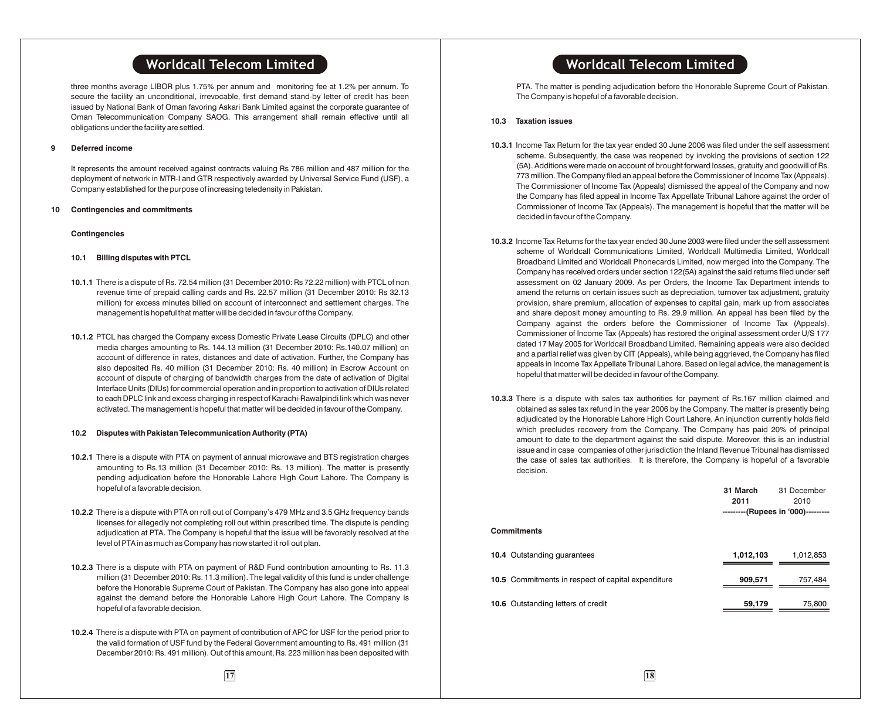three months average LIBOR plus 1.75% per annum and monitoring fee at 1.2% per annum. To secure the facility an unconditional, irrevocable, first demand stand-by letter of credit has been issued by National Bank of Oman favoring Askari Bank Limited against the corporate guarantee of Oman Telecommunication Company SAOG. This arrangement shall remain effective until all obligations under the facility are settled.

#### **9 Deferred income**

It represents the amount received against contracts valuing Rs 786 million and 487 million for the deployment of network in MTR-I and GTR respectively awarded by Universal Service Fund (USF), a Company established for the purpose of increasing teledensity in Pakistan.

#### **10 Contingencies and commitments**

#### **Contingencies**

#### **10.1 Billing disputes with PTCL**

- **10.1.1** There is a dispute of Rs. 72.54 million (31 December 2010: Rs 72.22 million) with PTCL of non revenue time of prepaid calling cards and Rs. 22.57 million (31 December 2010: Rs 32.13 million) for excess minutes billed on account of interconnect and settlement charges. The management is hopeful that matter will be decided in favour of the Company.
- **10.1.2** PTCL has charged the Company excess Domestic Private Lease Circuits (DPLC) and other media charges amounting to Rs. 144.13 million (31 December 2010: Rs.140.07 million) on account of difference in rates, distances and date of activation. Further, the Company has also deposited Rs. 40 million (31 December 2010: Rs. 40 million) in Escrow Account on account of dispute of charging of bandwidth charges from the date of activation of Digital Interface Units (DIUs) for commercial operation and in proportion to activation of DIUs related to each DPLC link and excess charging in respect of Karachi-Rawalpindi link which was never activated. The management is hopeful that matter will be decided in favour of the Company.

#### **10.2 Disputes with Pakistan Telecommunication Authority (PTA)**

- **10.2.1** There is a dispute with PTA on payment of annual microwave and BTS registration charges amounting to Rs.13 million (31 December 2010: Rs. 13 million). The matter is presently pending adjudication before the Honorable Lahore High Court Lahore. The Company is hopeful of a favorable decision.
- **10.2.2** There is a dispute with PTA on roll out of Company's 479 MHz and 3.5 GHz frequency bands licenses for allegedly not completing roll out within prescribed time. The dispute is pending adjudication at PTA. The Company is hopeful that the issue will be favorably resolved at the level of PTA in as much as Company has now started it roll out plan.
- **10.2.3** There is a dispute with PTA on payment of R&D Fund contribution amounting to Rs. 11.3 million (31 December 2010: Rs. 11.3 million). The legal validity of this fund is under challenge before the Honorable Supreme Court of Pakistan. The Company has also gone into appeal against the demand before the Honorable Lahore High Court Lahore. The Company is hopeful of a favorable decision.
- **10.2.4** There is a dispute with PTA on payment of contribution of APC for USF for the period prior to the valid formation of USF fund by the Federal Government amounting to Rs. 491 million (31 December 2010: Rs. 491 million). Out of this amount, Rs. 223 million has been deposited with

PTA. The matter is pending adjudication before the Honorable Supreme Court of Pakistan. The Company is hopeful of a favorable decision.

#### **10.3 Taxation issues**

- **10.3.1** Income Tax Return for the tax year ended 30 June 2006 was filed under the self assessment scheme. Subsequently, the case was reopened by invoking the provisions of section 122 (5A). Additions were made on account of brought forward losses, gratuity and goodwill of Rs. 773 million. The Company filed an appeal before the Commissioner of Income Tax (Appeals). The Commissioner of Income Tax (Appeals) dismissed the appeal of the Company and now the Company has filed appeal in Income Tax Appellate Tribunal Lahore against the order of Commissioner of Income Tax (Appeals). The management is hopeful that the matter will be decided in favour of the Company.
- **10.3.2** Income Tax Returns for the tax year ended 30 June 2003 were filed under the self assessment scheme of Worldcall Communications Limited, Worldcall Multimedia Limited, Worldcall Broadband Limited and Worldcall Phonecards Limited, now merged into the Company. The Company has received orders under section 122(5A) against the said returns filed under self assessment on 02 January 2009. As per Orders, the Income Tax Department intends to amend the returns on certain issues such as depreciation, turnover tax adjustment, gratuity provision, share premium, allocation of expenses to capital gain, mark up from associates and share deposit money amounting to Rs. 29.9 million. An appeal has been filed by the Company against the orders before the Commissioner of Income Tax (Appeals). Commissioner of Income Tax (Appeals) has restored the original assessment order U/S 177 dated 17 May 2005 for Worldcall Broadband Limited. Remaining appeals were also decided and a partial relief was given by CIT (Appeals), while being aggrieved, the Company has filed appeals in Income Tax Appellate Tribunal Lahore. Based on legal advice, the management is hopeful that matter will be decided in favour of the Company.
- **10.3.3** There is a dispute with sales tax authorities for payment of Rs.167 million claimed and obtained as sales tax refund in the year 2006 by the Company. The matter is presently being adjudicated by the Honorable Lahore High Court Lahore. An injunction currently holds field which precludes recovery from the Company. The Company has paid 20% of principal amount to date to the department against the said dispute. Moreover, this is an industrial issue and in case companies of other jurisdiction the Inland Revenue Tribunal has dismissed the case of sales tax authorities. It is therefore, the Company is hopeful of a favorable decision.

|                                                    | 31 March<br>2011<br>---------(Rupees in '000)--------- | 31 December<br>2010 |
|----------------------------------------------------|--------------------------------------------------------|---------------------|
| Commitments                                        |                                                        |                     |
| 10.4 Outstanding quarantees                        | 1,012,103                                              | 1,012,853           |
| 10.5 Commitments in respect of capital expenditure | 909,571                                                | 757,484             |
| 10.6 Outstanding letters of credit                 | 59,179                                                 | 75,800              |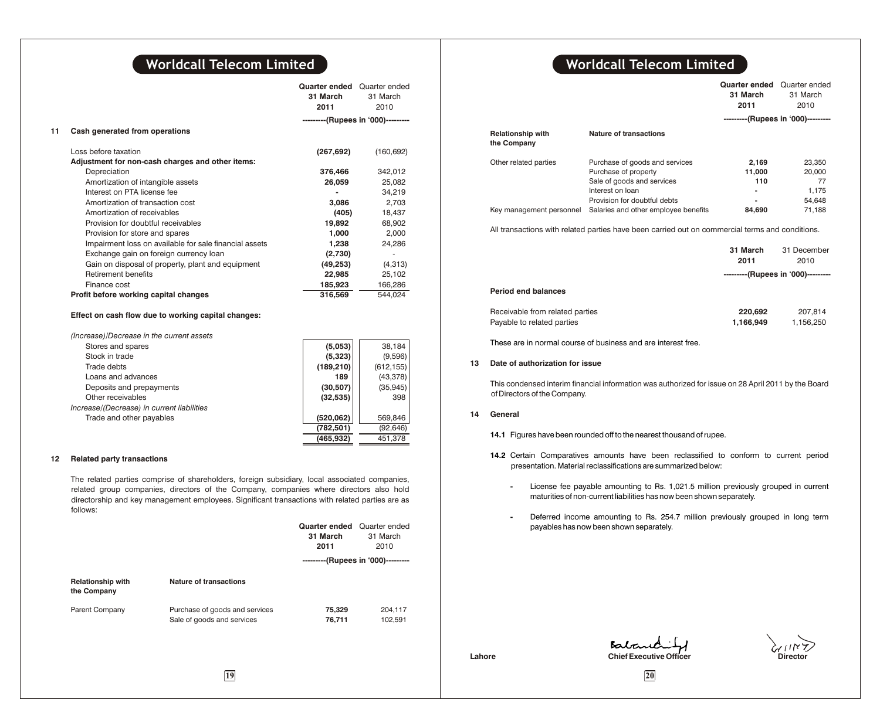|                                                        | Quarter ended<br>31 March<br>2011 | Quarter ended<br>31 March<br>2010  |
|--------------------------------------------------------|-----------------------------------|------------------------------------|
|                                                        |                                   | ---------(Rupees in '000)--------- |
| Cash generated from operations                         |                                   |                                    |
| Loss before taxation                                   | (267, 692)                        | (160, 692)                         |
| Adjustment for non-cash charges and other items:       |                                   |                                    |
| Depreciation                                           | 376,466                           | 342,012                            |
| Amortization of intangible assets                      | 26,059                            | 25,082                             |
| Interest on PTA license fee                            |                                   | 34.219                             |
| Amortization of transaction cost                       | 3.086                             | 2.703                              |
| Amortization of receivables                            | (405)                             | 18,437                             |
| Provision for doubtful receivables                     | 19,892                            | 68,902                             |
| Provision for store and spares                         | 1,000                             | 2,000                              |
| Impairment loss on available for sale financial assets | 1,238                             | 24.286                             |
| Exchange gain on foreign currency loan                 | (2,730)                           |                                    |
| Gain on disposal of property, plant and equipment      | (49, 253)                         | (4,313)                            |
| Retirement benefits                                    | 22,985                            | 25,102                             |
| Finance cost                                           | 185,923                           | 166,286                            |
| Profit before working capital changes                  | 316,569                           | 544,024                            |
| Effect on cash flow due to working capital changes:    |                                   |                                    |
| (Increase)/Decrease in the current assets              |                                   |                                    |
| Stores and charge                                      | (5.052)                           | <b>DO 104</b>                      |

| Stores and spares                          | (5,053)    | 38,184     |
|--------------------------------------------|------------|------------|
| Stock in trade                             | (5,323)    | (9,596)    |
| Trade debts                                | (189, 210) | (612, 155) |
| Loans and advances                         | 189        | (43, 378)  |
| Deposits and prepayments                   | (30, 507)  | (35, 945)  |
| Other receivables                          | (32, 535)  | 398        |
| Increase/(Decrease) in current liabilities |            |            |
| Trade and other payables                   | (520, 062) | 569.846    |
|                                            | (782, 501) | (92, 646)  |
|                                            | (465,932)  | 451.378    |

#### **12 Related party transactions**

The related parties comprise of shareholders, foreign subsidiary, local associated companies, related group companies, directors of the Company, companies where directors also hold directorship and key management employees. Significant transactions with related parties are as follows:

|                                         |                                                              | <b>Quarter ended</b><br>31 March<br>2011 | Quarter ended<br>31 March<br>2010  |
|-----------------------------------------|--------------------------------------------------------------|------------------------------------------|------------------------------------|
|                                         |                                                              |                                          | ---------(Rupees in '000)--------- |
| <b>Relationship with</b><br>the Company | Nature of transactions                                       |                                          |                                    |
| Parent Company                          | Purchase of goods and services<br>Sale of goods and services | 75,329<br>76,711                         | 204,117<br>102,591                 |

# **Worldcall Telecom Limited Worldcall Telecom Limited**

|                                         |                                                                                                                                          | Quarter ended<br>31 March<br>2011 | Quarter ended<br>31 March<br>2010         |
|-----------------------------------------|------------------------------------------------------------------------------------------------------------------------------------------|-----------------------------------|-------------------------------------------|
|                                         |                                                                                                                                          |                                   | ---------(Rupees in '000)---------        |
| <b>Relationship with</b><br>the Company | Nature of transactions                                                                                                                   |                                   |                                           |
| Other related parties                   | Purchase of goods and services<br>Purchase of property<br>Sale of goods and services<br>Interest on loan<br>Provision for doubtful debts | 2,169<br>11,000<br>110<br>۰       | 23,350<br>20,000<br>77<br>1.175<br>54.648 |
| Key management personnel                | Salaries and other employee benefits                                                                                                     | 84.690                            | 71.188                                    |

All transactions with related parties have been carried out on commercial terms and conditions.

|                                                               | 31 March<br>2011     | 31 December<br>2010                |
|---------------------------------------------------------------|----------------------|------------------------------------|
|                                                               |                      | ---------(Rupees in '000)--------- |
| <b>Period end balances</b>                                    |                      |                                    |
| Receivable from related parties<br>Payable to related parties | 220,692<br>1,166,949 | 207.814<br>1,156,250               |

These are in normal course of business and are interest free.

#### **13 Date of authorization for issue**

This condensed interim financial information was authorized for issue on 28 April 2011 by the Board of Directors of the Company.

#### **14 General**

- **14.1** Figures have been rounded off to the nearest thousand of rupee.
- **14.2** Certain Comparatives amounts have been reclassified to conform to current period presentation. Material reclassifications are summarized below:
	- **-** License fee payable amounting to Rs. 1,021.5 million previously grouped in current maturities of non-current liabilities has now been shown separately.
	- **-** Deferred income amounting to Rs. 254.7 million previously grouped in long term payables has now been shown separately.



**Lahore Chief Executive Officer** 

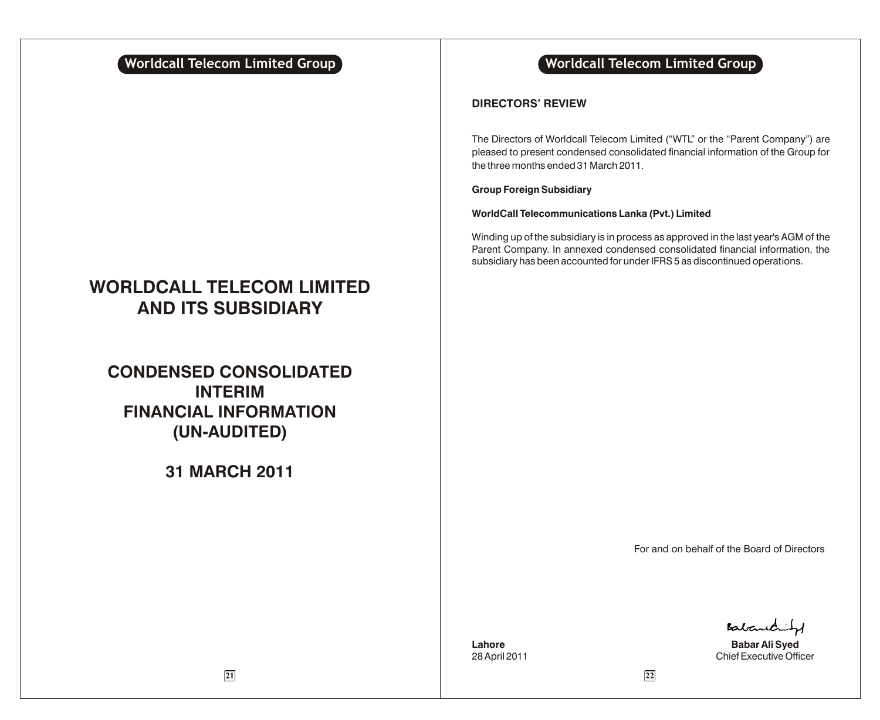# **WORLDCALL TELECOM LIMITED AND ITS SUBSIDIARY**

# **CONDENSED CONSOLIDATED INTERIM FINANCIAL INFORMATION (UN-AUDITED)**

# **31 MARCH 2011**

# **Worldcall Telecom Limited Group Notationally related Worldcall Telecom Limited Group**

# **DIRECTORS' REVIEW**

The Directors of Worldcall Telecom Limited ("WTL" or the "Parent Company") are pleased to present condensed consolidated financial information of the Group for the three months ended 31 March 2011.

# **Group Foreign Subsidiary**

### **WorldCall Telecommunications Lanka (Pvt.) Limited**

Winding up of the subsidiary is in process as approved in the last year's AGM of the Parent Company. In annexed condensed consolidated financial information, the subsidiary has been accounted for under IFRS 5 as discontinued operations.

For and on behalf of the Board of Directors

Batantity

**Lahore Babar Ali Syed** 28 April 2011 **Chief Executive Officer**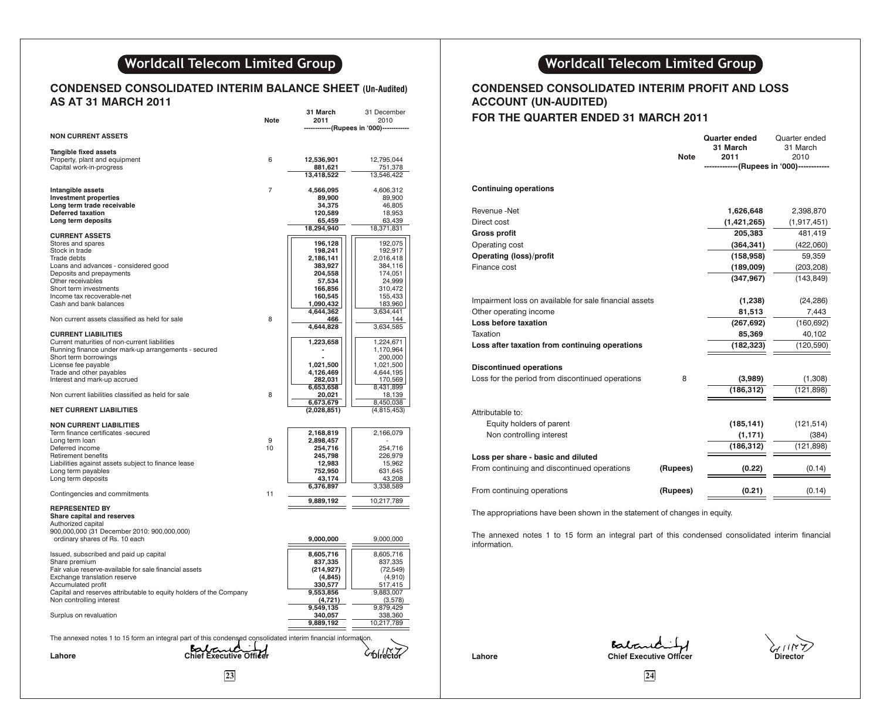# **Worldcall Telecom Limited Group**

# **CONDENSED CONSOLIDATED INTERIM BALANCE SHEET (Un-Audited) AS AT 31 MARCH 2011**

|                                                                                                               | Note | 31 March<br>2011         | 31 December<br>2010    | <b>FOR THE QUARTER ENDED 31 MA</b>                     |                     |
|---------------------------------------------------------------------------------------------------------------|------|--------------------------|------------------------|--------------------------------------------------------|---------------------|
|                                                                                                               |      |                          | ---(Rupees in '000)--  |                                                        |                     |
| <b>NON CURRENT ASSETS</b>                                                                                     |      |                          |                        |                                                        |                     |
| Tangible fixed assets                                                                                         |      |                          |                        |                                                        |                     |
| Property, plant and equipment                                                                                 | 6    | 12,536,901               | 12.795.044             |                                                        |                     |
| Capital work-in-progress                                                                                      |      | 881,621                  | 751,378                |                                                        |                     |
|                                                                                                               |      | 13,418,522               | 13,546,422             |                                                        |                     |
| Intangible assets                                                                                             | 7    | 4,566,095                | 4,606,312              | <b>Continuing operations</b>                           |                     |
| <b>Investment properties</b>                                                                                  |      | 89,900                   | 89.900                 |                                                        |                     |
| Long term trade receivable                                                                                    |      | 34,375                   | 46,805                 |                                                        |                     |
| <b>Deferred taxation</b>                                                                                      |      | 120,589                  | 18,953                 | Revenue -Net                                           |                     |
| Long term deposits                                                                                            |      | 65,459<br>18,294,940     | 63,439                 | Direct cost                                            |                     |
| <b>CURRENT ASSETS</b>                                                                                         |      |                          | 18,371,831             | <b>Gross profit</b>                                    |                     |
| Stores and spares                                                                                             |      | 196,128                  | 192,075                | Operating cost                                         |                     |
| Stock in trade                                                                                                |      | 198,241                  | 192,917                |                                                        |                     |
| Trade debts                                                                                                   |      | 2,186,141                | 2,016,418              | <b>Operating (loss)/profit</b>                         |                     |
| Loans and advances - considered good<br>Deposits and prepayments                                              |      | 383,927<br>204,558       | 384,116<br>174,051     | Finance cost                                           |                     |
| Other receivables                                                                                             |      | 57,534                   | 24,999                 |                                                        |                     |
| Short term investments                                                                                        |      | 166,856                  | 310,472                |                                                        |                     |
| Income tax recoverable-net                                                                                    |      | 160,545                  | 155,433                | Impairment loss on available for sale financial assets |                     |
| Cash and bank balances                                                                                        |      | 1,090,432                | 183,960                |                                                        |                     |
| Non current assets classified as held for sale                                                                | 8    | 4,644,362<br>466         | 3,634,441<br>144       | Other operating income                                 |                     |
|                                                                                                               |      | 4,644,828                | 3,634,585              | Loss before taxation                                   |                     |
| <b>CURRENT LIABILITIES</b>                                                                                    |      |                          |                        | Taxation                                               |                     |
| Current maturities of non-current liabilities                                                                 |      | 1,223,658                | 1,224,671              | Loss after taxation from continuing operations         |                     |
| Running finance under mark-up arrangements - secured                                                          |      |                          | 1,170,964              |                                                        |                     |
| Short term borrowings                                                                                         |      |                          | 200,000                |                                                        |                     |
| License fee payable<br>Trade and other payables                                                               |      | 1,021,500<br>4,126,469   | 1,021,500<br>4,644,195 | <b>Discontinued operations</b>                         |                     |
| Interest and mark-up accrued                                                                                  |      | 282,031                  | 170,569                | Loss for the period from discontinued operations       |                     |
|                                                                                                               |      | 6,653,658                | 8,431,899              |                                                        |                     |
| Non current liabilities classified as held for sale                                                           | 8    | 20,021                   | 18,139                 |                                                        |                     |
| <b>NET CURRENT LIABILITIES</b>                                                                                |      | 6,673,679<br>(2,028,851) | 8,450,038              |                                                        |                     |
|                                                                                                               |      |                          | (4,815,453)            | Attributable to:                                       |                     |
| <b>NON CURRENT LIABILITIES</b>                                                                                |      |                          |                        | Equity holders of parent                               |                     |
| Term finance certificates -secured                                                                            |      | 2,168,819                | 2,166,079              | Non controlling interest                               |                     |
| Long term loan                                                                                                | 9    | 2,898,457                |                        |                                                        |                     |
| Deferred income<br><b>Retirement benefits</b>                                                                 | 10   | 254,716<br>245,798       | 254,716<br>226.979     |                                                        |                     |
| Liabilities against assets subject to finance lease                                                           |      | 12,983                   | 15,962                 | Loss per share - basic and diluted                     |                     |
| Long term payables                                                                                            |      | 752,950                  | 631,645                | From continuing and discontinued operations            |                     |
| Long term deposits                                                                                            |      | 43,174                   | 43,208                 |                                                        |                     |
|                                                                                                               |      | 6,376,897                | 3,338,589              | From continuing operations                             |                     |
| Contingencies and commitments                                                                                 | 11   | 9,889,192                | 10,217,789             |                                                        |                     |
| <b>REPRESENTED BY</b>                                                                                         |      |                          |                        |                                                        |                     |
| Share capital and reserves                                                                                    |      |                          |                        | The appropriations have been shown in the statemer     |                     |
| Authorized capital                                                                                            |      |                          |                        |                                                        |                     |
| 900,000,000 (31 December 2010: 900,000,000)                                                                   |      |                          |                        | The annexed notes 1 to 15 form an integral part        |                     |
| ordinary shares of Rs. 10 each                                                                                |      | 9,000,000                | 9,000,000              | information.                                           |                     |
| Issued, subscribed and paid up capital                                                                        |      | 8,605,716                | 8,605,716              |                                                        |                     |
| Share premium                                                                                                 |      | 837,335                  | 837,335                |                                                        |                     |
| Fair value reserve-available for sale financial assets                                                        |      | (214, 927)               | (72, 549)              |                                                        |                     |
| Exchange translation reserve                                                                                  |      | (4, 845)                 | (4,910)                |                                                        |                     |
| Accumulated profit<br>Capital and reserves attributable to equity holders of the Company                      |      | 330,577<br>9,553,856     | 517,415<br>9,883,007   |                                                        |                     |
| Non controlling interest                                                                                      |      | (4, 721)                 | (3,578)                |                                                        |                     |
|                                                                                                               |      | 9,549,135                | 9,879,429              |                                                        |                     |
| Surplus on revaluation                                                                                        |      | 340,057                  | 338,360                |                                                        |                     |
|                                                                                                               |      | 9,889,192                | 10,217,789             |                                                        |                     |
|                                                                                                               |      |                          |                        |                                                        |                     |
| The annexed notes 1 to 15 form an integral part of this condensed consolidated interim financial information. |      |                          |                        |                                                        | Baban               |
| Babane<br>Chief Executive Officer<br>Lahore                                                                   |      |                          |                        | Lahore                                                 | <b>Chief Execut</b> |
|                                                                                                               |      |                          |                        |                                                        |                     |
| 23                                                                                                            |      |                          |                        |                                                        | 24                  |
|                                                                                                               |      |                          |                        |                                                        |                     |

# **Worldcall Telecom Limited Group**

# **CONDENSED CONSOLIDATED INTERIM PROFIT AND LOSS ACCOUNT (UN-AUDITED)**

# **FOR THE QUARTER ENDED 31 MARCH 2011**

|                                                        | <b>Note</b> | <b>Quarter ended</b><br>31 March<br>2011   | Quarter ended<br>31 March<br>2010 |
|--------------------------------------------------------|-------------|--------------------------------------------|-----------------------------------|
|                                                        |             | --------------(Rupees in '000)------------ |                                   |
| <b>Continuing operations</b>                           |             |                                            |                                   |
| Revenue -Net                                           |             | 1,626,648                                  | 2,398,870                         |
| Direct cost                                            |             | (1,421,265)                                | (1, 917, 451)                     |
| <b>Gross profit</b>                                    |             | 205,383                                    | 481,419                           |
| Operating cost                                         |             | (364, 341)                                 | (422,060)                         |
| <b>Operating (loss)/profit</b>                         |             | (158, 958)                                 | 59,359                            |
| Finance cost                                           |             | (189,009)                                  | (203, 208)                        |
|                                                        |             | (347, 967)                                 | (143, 849)                        |
| Impairment loss on available for sale financial assets |             | (1,238)                                    | (24, 286)                         |
| Other operating income                                 |             | 81,513                                     | 7,443                             |
| <b>Loss before taxation</b>                            |             | (267, 692)                                 | (160, 692)                        |
| Taxation                                               |             | 85,369                                     | 40,102                            |
| Loss after taxation from continuing operations         |             | (182, 323)                                 | (120, 590)                        |
| <b>Discontinued operations</b>                         |             |                                            |                                   |
| Loss for the period from discontinued operations       | 8           | (3,989)                                    | (1,308)                           |
|                                                        |             | (186, 312)                                 | (121, 898)                        |
| Attributable to:                                       |             |                                            |                                   |
| Equity holders of parent                               |             | (185, 141)                                 | (121, 514)                        |
| Non controlling interest                               |             | (1, 171)                                   | (384)                             |
|                                                        |             | (186, 312)                                 | (121, 898)                        |
| Loss per share - basic and diluted                     |             |                                            |                                   |
| From continuing and discontinued operations            | (Rupees)    | (0.22)                                     | (0.14)                            |
| From continuing operations                             | (Rupees)    | (0.21)                                     | (0.14)                            |
|                                                        |             |                                            |                                   |

The appropriations have been shown in the statement of changes in equity.

The annexed notes 1 to 15 form an integral part of this condensed consolidated interim financial information.

Lahore **Chief Executive Officer** Chief Executive Officer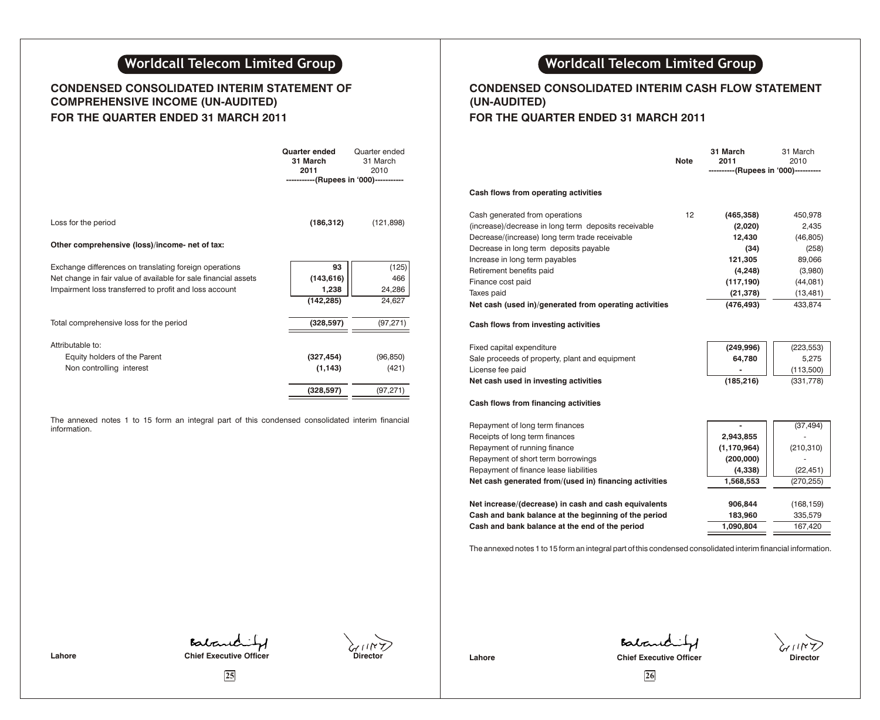# **Worldcall Telecom Limited Group**

# **CONDENSED CONSOLIDATED INTERIM STATEMENT OF COMPREHENSIVE INCOME (UN-AUDITED) FOR THE QUARTER ENDED 31 MARCH 2011**

|                                                                 | Quarter ended<br>31 March<br>2011<br>-----------(Rupees in '000)----------- | Quarter ended<br>31 March<br>2010 |
|-----------------------------------------------------------------|-----------------------------------------------------------------------------|-----------------------------------|
| Loss for the period                                             | (186, 312)                                                                  | (121, 898)                        |
| Other comprehensive (loss)/income- net of tax:                  |                                                                             |                                   |
| Exchange differences on translating foreign operations          | 93                                                                          | (125)                             |
| Net change in fair value of available for sale financial assets | (143, 616)                                                                  | 466                               |
| Impairment loss transferred to profit and loss account          | 1,238                                                                       | 24,286                            |
|                                                                 | (142, 285)                                                                  | 24,627                            |
| Total comprehensive loss for the period                         | (328, 597)                                                                  | (97, 271)                         |
| Attributable to:                                                |                                                                             |                                   |
| Equity holders of the Parent                                    | (327, 454)                                                                  | (96, 850)                         |
| Non controlling interest                                        | (1, 143)                                                                    | (421)                             |
|                                                                 | (328, 597)                                                                  | (97, 271)                         |

The annexed notes 1 to 15 form an integral part of this condensed consolidated interim financial information.

# **Worldcall Telecom Limited Group**

# **CONDENSED CONSOLIDATED INTERIM CASH FLOW STATEMENT (UN-AUDITED)**

# **FOR THE QUARTER ENDED 31 MARCH 2011**

|                                                        | <b>Note</b> | 31 March<br>2011<br>----------(Rupees in '000)---------- | 31 March<br>2010 |
|--------------------------------------------------------|-------------|----------------------------------------------------------|------------------|
| Cash flows from operating activities                   |             |                                                          |                  |
|                                                        |             |                                                          |                  |
| Cash generated from operations                         | 12          | (465, 358)                                               | 450,978          |
| (increase)/decrease in long term deposits receivable   |             | (2,020)                                                  | 2,435            |
| Decrease/(increase) long term trade receivable         |             | 12,430                                                   | (46, 805)        |
| Decrease in long term deposits payable                 |             | (34)                                                     | (258)            |
| Increase in long term payables                         |             | 121,305                                                  | 89,066           |
| Retirement benefits paid                               |             | (4, 248)                                                 | (3,980)          |
| Finance cost paid                                      |             | (117, 190)                                               | (44,081)         |
| Taxes paid                                             |             | (21, 378)                                                | (13, 481)        |
| Net cash (used in)/generated from operating activities |             | (476, 493)                                               | 433,874          |
| Cash flows from investing activities                   |             |                                                          |                  |
| Fixed capital expenditure                              |             | (249, 996)                                               | (223, 553)       |
| Sale proceeds of property, plant and equipment         |             | 64,780                                                   | 5,275            |
| License fee paid                                       |             |                                                          | (113,500)        |
| Net cash used in investing activities                  |             | (185, 216)                                               | (331, 778)       |
| Cash flows from financing activities                   |             |                                                          |                  |
| Repayment of long term finances                        |             |                                                          | (37, 494)        |
| Receipts of long term finances                         |             | 2,943,855                                                |                  |
| Repayment of running finance                           |             | (1, 170, 964)                                            | (210, 310)       |
| Repayment of short term borrowings                     |             | (200,000)                                                |                  |
| Repayment of finance lease liabilities                 |             | (4,338)                                                  | (22, 451)        |
| Net cash generated from/(used in) financing activities |             | 1,568,553                                                | (270, 255)       |
|                                                        |             |                                                          |                  |
| Net increase/(decrease) in cash and cash equivalents   |             | 906,844                                                  | (168, 159)       |
| Cash and bank balance at the beginning of the period   |             | 183,960                                                  | 335,579          |
| Cash and bank balance at the end of the period         |             | 1,090,804                                                | 167,420          |
|                                                        |             |                                                          |                  |

The annexed notes 1 to 15 form an integral part of this condensed consolidated interim financial information.

Babandity Lahore **Chief Executive Officer Chief Executive Officer** 

Babanchity **Lahore Chief Executive Officer Director** 

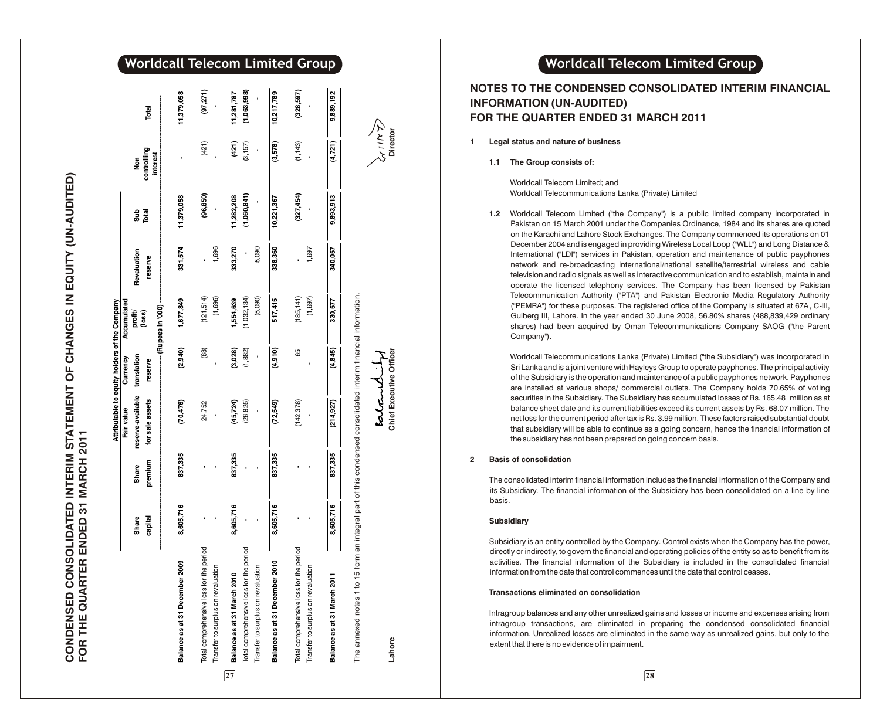# CONDENSED CONSOLIDATED INTERIM STATEMENT OF CHANGES IN EQUITY (UN-AUDITED)<br>FOR THE QUARTER ENDED 31 MARCH 2011 **CONDENSED CONSOLIDATED INTERIM STATEMENT OF CHANGES IN EQUITY (UN-AUDITED) FOR THE QUARTER ENDED 31 MARCH 2011**

|                                           |           |              | Fair value                                                                     | Attributable to equity holders of the Company<br>Currency | Accumulated |             |             |                                |             |
|-------------------------------------------|-----------|--------------|--------------------------------------------------------------------------------|-----------------------------------------------------------|-------------|-------------|-------------|--------------------------------|-------------|
|                                           | Share     | <b>Share</b> | reserve-available                                                              | translation                                               | profit/     | Revaluation | ទី          | Non                            |             |
|                                           | capital   | premium      | for sale assets                                                                | reserve                                                   | (loss)      | reserve     | Total       | controlling<br><b>interest</b> | Total       |
|                                           |           |              |                                                                                |                                                           |             |             |             |                                |             |
| Balance as at 31 December 2009            | 8,605,716 | 837,335      | (70, 476)                                                                      | (2,940)                                                   | 1,677,849   | 331,574     | 11,379,058  |                                | 11,379,058  |
| Total comprehensive loss for the period   |           |              | 24,752                                                                         | $\begin{array}{c} (88) \\ \end{array}$                    | (121,514)   |             | (96, 850)   | (421)                          | (97, 271)   |
| Transfer to surplus on revaluation        |           |              |                                                                                |                                                           | (1,696)     | 1,696       |             |                                |             |
| Balance as at 31 March 2010<br>27         | 8,605,716 | 837,335      | (45, 724)                                                                      | (3,028)                                                   | 1,554,639   | 333,270     | 11,282,208  | (421)                          | 11,281,787  |
| g<br>Total comprehensive loss for the per |           |              | (26, 825)                                                                      | (1,882)                                                   | (1,032,134) |             | (1,060,841) | (3,157)                        | (1,063,998) |
| Transfer to surplus on revaluation        |           |              |                                                                                |                                                           | (5,090)     | 5,090       |             |                                |             |
| Balance as at 31 December 2010            | 8,605,716 | 837,335      | (72,549)                                                                       | (4, 910)                                                  | 517,415     | 338,360     | 10,221,367  | (3,578)                        | 10,217,789  |
| Total comprehensive loss for the period   |           |              | (142, 378)                                                                     | 8                                                         | (185, 141)  |             | (327,454)   | (1, 143)                       | (328, 597)  |
| Transfer to surplus on revaluation        |           |              |                                                                                |                                                           | (1,697)     | 1,697       |             |                                |             |
| Balance as at 31 March 2011               | 8,605,716 | 837,335      | (214, 927)                                                                     | (4, 845)                                                  | 330,577     | 340,057     | 9,893,913   | (4,721)                        | 9,889,192   |
| The annexed notes 1 to 15 form            |           |              | an integral part of this condensed consolidated interim financial information. |                                                           |             |             |             |                                |             |
|                                           |           |              | entant.                                                                        |                                                           |             |             |             | ダミス                            |             |
| Lahore                                    |           |              |                                                                                | <b>Chief Executive Officer</b>                            |             |             |             | Director                       |             |

**Worldcall Telecom Limited Group** 

# **NOTES TO THE CONDENSED CONSOLIDATED INTERIM FINANCIAL INFORMATION (UN-AUDITED) FOR THE QUARTER ENDED 31 MARCH 2011**

**1 Legal status and nature of business**

**1.1 The Group consists of:**

Worldcall Telecom Limited; and Worldcall Telecommunications Lanka (Private) Limited

**1.2** Worldcall Telecom Limited ("the Company") is a public limited company incorporated in Pakistan on 15 March 2001 under the Companies Ordinance, 1984 and its shares are quoted on the Karachi and Lahore Stock Exchanges. The Company commenced its operations on 01 December 2004 and is engaged in providing Wireless Local Loop ("WLL") and Long Distance & International ("LDI") services in Pakistan, operation and maintenance of public payphones network and re-broadcasting international/national satellite/terrestrial wireless and cable television and radio signals as well as interactive communication and to establish, maintain and operate the licensed telephony services. The Company has been licensed by Pakistan Telecommunication Authority ("PTA") and Pakistan Electronic Media Regulatory Authority ("PEMRA") for these purposes. The registered office of the Company is situated at 67A, C-III, Gulberg III, Lahore. In the year ended 30 June 2008, 56.80% shares (488,839,429 ordinary shares) had been acquired by Oman Telecommunications Company SAOG ("the Parent Company").

Worldcall Telecommunications Lanka (Private) Limited ("the Subsidiary") was incorporated in Sri Lanka and is a joint venture with Hayleys Group to operate payphones. The principal activity of the Subsidiary is the operation and maintenance of a public payphones network. Payphones are installed at various shops/ commercial outlets. The Company holds 70.65% of voting securities in the Subsidiary. The Subsidiary has accumulated losses of Rs. 165.48 million as at balance sheet date and its current liabilities exceed its current assets by Rs. 68.07 million. The net loss for the current period after tax is Rs. 3.99 million. These factors raised substantial doubt that subsidiary will be able to continue as a going concern, hence the financial information of the subsidiary has not been prepared on going concern basis.

#### **2 Basis of consolidation**

The consolidated interim financial information includes the financial information of the Company and its Subsidiary. The financial information of the Subsidiary has been consolidated on a line by line basis.

#### **Subsidiary**

**Chief Executive Officer Director**

Subsidiary is an entity controlled by the Company. Control exists when the Company has the power, directly or indirectly, to govern the financial and operating policies of the entity so as to benefit from its activities. The financial information of the Subsidiary is included in the consolidated financial information from the date that control commences until the date that control ceases.

#### **Transactions eliminated on consolidation**

Intragroup balances and any other unrealized gains and losses or income and expenses arising from intragroup transactions, are eliminated in preparing the condensed consolidated financial information. Unrealized losses are eliminated in the same way as unrealized gains, but only to the extent that there is no evidence of impairment.

# **2 8**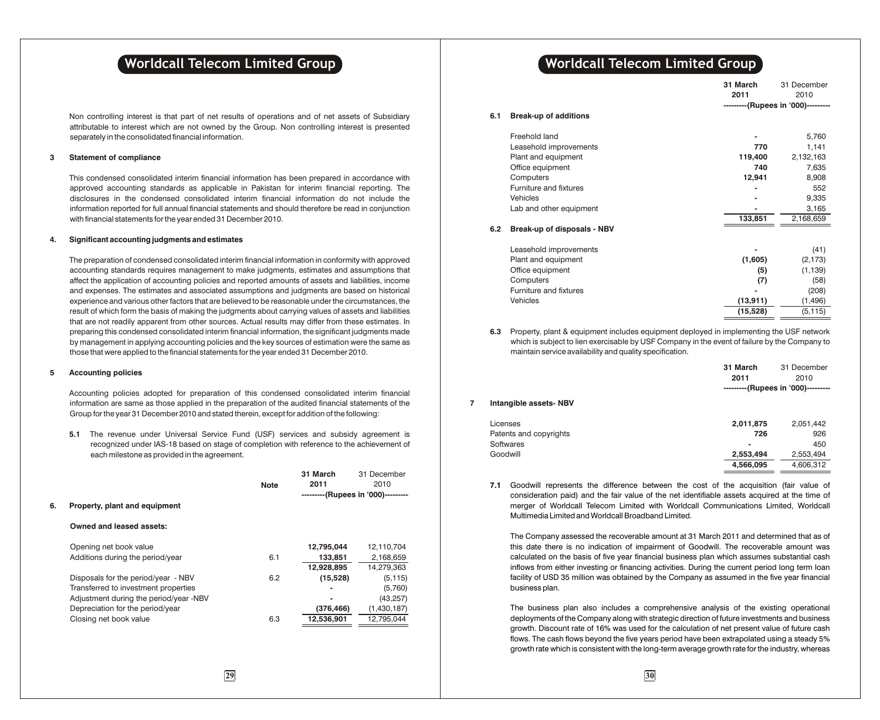Non controlling interest is that part of net results of operations and of net assets of Subsidiary attributable to interest which are not owned by the Group. Non controlling interest is presented separately in the consolidated financial information.

#### **3 Statement of compliance**

This condensed consolidated interim financial information has been prepared in accordance with approved accounting standards as applicable in Pakistan for interim financial reporting. The disclosures in the condensed consolidated interim financial information do not include the information reported for full annual financial statements and should therefore be read in conjunction with financial statements for the year ended 31 December 2010.

#### **4. Significant accounting judgments and estimates**

The preparation of condensed consolidated interim financial information in conformity with approved accounting standards requires management to make judgments, estimates and assumptions that affect the application of accounting policies and reported amounts of assets and liabilities, income and expenses. The estimates and associated assumptions and judgments are based on historical experience and various other factors that are believed to be reasonable under the circumstances, the result of which form the basis of making the judgments about carrying values of assets and liabilities that are not readily apparent from other sources. Actual results may differ from these estimates. In preparing this condensed consolidated interim financial information, the significant judgments made by management in applying accounting policies and the key sources of estimation were the same as those that were applied to the financial statements for the year ended 31 December 2010.

#### **5 Accounting policies**

Accounting policies adopted for preparation of this condensed consolidated interim financial information are same as those applied in the preparation of the audited financial statements of the Group for the year 31 December 2010 and stated therein, except for addition of the following:

**5.1** The revenue under Universal Service Fund (USF) services and subsidy agreement is recognized under IAS-18 based on stage of completion with reference to the achievement of each milestone as provided in the agreement.

|                                                                                                                                                                                                                                                                                                                |            | ---------(Rupees in '000)--------- |
|----------------------------------------------------------------------------------------------------------------------------------------------------------------------------------------------------------------------------------------------------------------------------------------------------------------|------------|------------------------------------|
|                                                                                                                                                                                                                                                                                                                |            |                                    |
|                                                                                                                                                                                                                                                                                                                |            |                                    |
|                                                                                                                                                                                                                                                                                                                | 12,795,044 | 12,110,704                         |
| 6.1                                                                                                                                                                                                                                                                                                            | 133,851    | 2,168,659                          |
|                                                                                                                                                                                                                                                                                                                | 12,928,895 | 14,279,363                         |
| 6.2                                                                                                                                                                                                                                                                                                            | (15, 528)  | (5, 115)                           |
|                                                                                                                                                                                                                                                                                                                |            | (5,760)                            |
|                                                                                                                                                                                                                                                                                                                |            | (43, 257)                          |
|                                                                                                                                                                                                                                                                                                                | (376, 466) | (1,430,187)                        |
| 6.3                                                                                                                                                                                                                                                                                                            | 12,536,901 | 12,795,044                         |
|                                                                                                                                                                                                                                                                                                                |            |                                    |
| Property, plant and equipment<br>Owned and leased assets:<br>Opening net book value<br>Additions during the period/year<br>Disposals for the period/year - NBV<br>Transferred to investment properties<br>Adjustment during the period/year -NBV<br>Depreciation for the period/year<br>Closing net book value |            |                                    |

# **Worldcall Telecom Limited Group <b>Telecom Number of Series Constants (Series Worldcall Telecom Limited Group**

|     |                              | 31 March  | 31 December                        |
|-----|------------------------------|-----------|------------------------------------|
|     |                              | 2011      | 2010                               |
|     |                              |           | ---------(Rupees in '000)--------- |
| 6.1 | <b>Break-up of additions</b> |           |                                    |
|     | Freehold land                |           | 5,760                              |
|     | Leasehold improvements       | 770       | 1,141                              |
|     | Plant and equipment          | 119,400   | 2,132,163                          |
|     | Office equipment             | 740       | 7,635                              |
|     | Computers                    | 12,941    | 8,908                              |
|     | Furniture and fixtures       |           | 552                                |
|     | Vehicles                     |           | 9,335                              |
|     | Lab and other equipment      |           | 3,165                              |
|     |                              | 133,851   | 2,168,659                          |
| 6.2 | Break-up of disposals - NBV  |           |                                    |
|     | Leasehold improvements       |           | (41)                               |
|     | Plant and equipment          | (1,605)   | (2, 173)                           |
|     | Office equipment             | (5)       | (1, 139)                           |
|     | Computers                    | (7)       | (58)                               |
|     | Furniture and fixtures       |           | (208)                              |
|     | Vehicles                     | (13, 911) | (1, 496)                           |
|     |                              | (15, 528) | (5, 115)                           |
|     |                              |           |                                    |

**6.3** Property, plant & equipment includes equipment deployed in implementing the USF network which is subject to lien exercisable by USF Company in the event of failure by the Company to maintain service availability and quality specification.

|   |                        | 31 March<br>2011         | 31 December<br>2010<br>---------(Rupees in '000)--------- |
|---|------------------------|--------------------------|-----------------------------------------------------------|
| 7 | Intangible assets-NBV  |                          |                                                           |
|   | Licenses               | 2,011,875                | 2,051,442                                                 |
|   | Patents and copyrights | 726                      | 926                                                       |
|   | Softwares              | $\overline{\phantom{0}}$ | 450                                                       |
|   | Goodwill               | 2,553,494                | 2,553,494                                                 |
|   |                        | 4.566.095                | 4.606.312                                                 |

**7.1** Goodwill represents the difference between the cost of the acquisition (fair value of consideration paid) and the fair value of the net identifiable assets acquired at the time of merger of Worldcall Telecom Limited with Worldcall Communications Limited, Worldcall Multimedia Limited and Worldcall Broadband Limited.

The Company assessed the recoverable amount at 31 March 2011 and determined that as of this date there is no indication of impairment of Goodwill. The recoverable amount was calculated on the basis of five year financial business plan which assumes substantial cash inflows from either investing or financing activities. During the current period long term loan facility of USD 35 million was obtained by the Company as assumed in the five year financial business plan.

The business plan also includes a comprehensive analysis of the existing operational deployments of the Company along with strategic direction of future investments and business growth. Discount rate of 16% was used for the calculation of net present value of future cash flows. The cash flows beyond the five years period have been extrapolated using a steady 5% growth rate which is consistent with the long-term average growth rate for the industry, whereas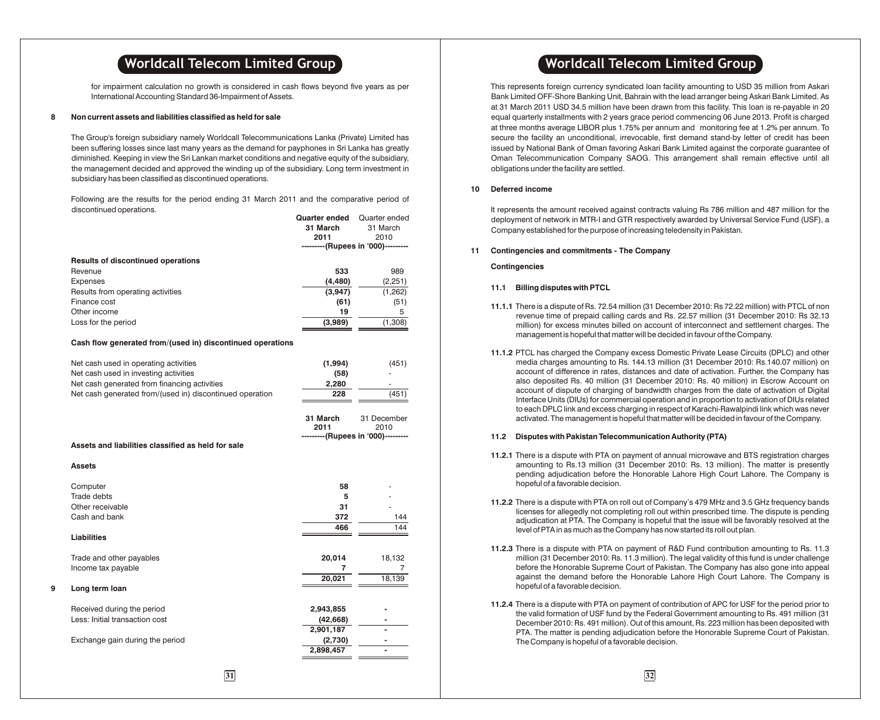for impairment calculation no growth is considered in cash flows beyond five years as per International Accounting Standard 36-Impairment of Assets.

#### **8 Non current assets and liabilities classified as held for sale**

The Group's foreign subsidiary namely Worldcall Telecommunications Lanka (Private) Limited has been suffering losses since last many years as the demand for payphones in Sri Lanka has greatly diminished. Keeping in view the Sri Lankan market conditions and negative equity of the subsidiary, the management decided and approved the winding up of the subsidiary. Long term investment in subsidiary has been classified as discontinued operations.

Following are the results for the period ending 31 March 2011 and the comparative period of discontinued operations.

|   |                                                            | <b>Quarter ended</b> Quarter ended |                                            |    | deployment of network in MTR-I and GTR respe                                          |
|---|------------------------------------------------------------|------------------------------------|--------------------------------------------|----|---------------------------------------------------------------------------------------|
|   |                                                            | 31 March                           | 31 March                                   |    | Company established for the purpose of increasi                                       |
|   |                                                            | 2011                               | 2010                                       |    |                                                                                       |
|   |                                                            |                                    | ---------(Rupees in '000)---------         | 11 | Contingencies and commitments - The Comp                                              |
|   | <b>Results of discontinued operations</b>                  |                                    |                                            |    |                                                                                       |
|   | Revenue                                                    | 533                                | 989                                        |    | <b>Contingencies</b>                                                                  |
|   | <b>Expenses</b>                                            | (4, 480)                           | (2, 251)                                   |    |                                                                                       |
|   | Results from operating activities                          | (3,947)                            | (1, 262)                                   |    | <b>Billing disputes with PTCL</b><br>11.1                                             |
|   | Finance cost                                               | (61)                               | (51)                                       |    |                                                                                       |
|   | Other income                                               | 19                                 | 5                                          |    | 11.1.1 There is a dispute of Rs. 72.54 million (31)                                   |
|   | Loss for the period                                        | (3,989)                            | (1,308)                                    |    | revenue time of prepaid calling cards ar<br>million) for excess minutes billed on acc |
|   |                                                            |                                    |                                            |    | management is hopeful that matter will be                                             |
|   | Cash flow generated from/(used in) discontinued operations |                                    |                                            |    |                                                                                       |
|   |                                                            |                                    |                                            |    | 11.1.2 PTCL has charged the Company excess                                            |
|   | Net cash used in operating activities                      | (1,994)                            | (451)                                      |    | media charges amounting to Rs. 144.13                                                 |
|   | Net cash used in investing activities                      | (58)                               |                                            |    | account of difference in rates, distances                                             |
|   | Net cash generated from financing activities               | 2,280                              |                                            |    | also deposited Rs. 40 million (31 Dece                                                |
|   | Net cash generated from/(used in) discontinued operation   | 228                                | (451)                                      |    | account of dispute of charging of bandy                                               |
|   |                                                            |                                    |                                            |    | Interface Units (DIUs) for commercial ope                                             |
|   |                                                            |                                    |                                            |    | to each DPLC link and excess charging in                                              |
|   |                                                            | 31 March<br>2011                   | 31 December                                |    | activated. The management is hopeful tha                                              |
|   |                                                            |                                    | 2010<br>---------(Rupees in '000)--------- |    | <b>Disputes with Pakistan Telecommunica</b><br>11.2                                   |
|   | Assets and liabilities classified as held for sale         |                                    |                                            |    |                                                                                       |
|   |                                                            |                                    |                                            |    | 11.2.1 There is a dispute with PTA on payment                                         |
|   | <b>Assets</b>                                              |                                    |                                            |    | amounting to Rs.13 million (31 Decem)                                                 |
|   |                                                            |                                    |                                            |    | pending adjudication before the Honor                                                 |
|   | Computer                                                   | 58                                 |                                            |    | hopeful of a favorable decision.                                                      |
|   | Trade debts                                                | 5                                  |                                            |    |                                                                                       |
|   | Other receivable                                           | 31                                 |                                            |    | 11.2.2 There is a dispute with PTA on roll out of                                     |
|   | Cash and bank                                              | 372                                | 144                                        |    | licenses for allegedly not completing roll                                            |
|   |                                                            | 466                                | 144                                        |    | adjudication at PTA. The Company is ho                                                |
|   | Liabilities                                                |                                    |                                            |    | level of PTA in as much as the Company h                                              |
|   |                                                            |                                    |                                            |    | 11.2.3 There is a dispute with PTA on paymen                                          |
|   | Trade and other payables                                   | 20,014                             | 18,132                                     |    | million (31 December 2010: Rs. 11.3 milli                                             |
|   | Income tax payable                                         | 7                                  | 7                                          |    | before the Honorable Supreme Court of                                                 |
|   |                                                            | 20,021                             | 18,139                                     |    | against the demand before the Honora                                                  |
| 9 | Long term loan                                             |                                    |                                            |    | hopeful of a favorable decision.                                                      |
|   |                                                            |                                    |                                            |    |                                                                                       |
|   | Received during the period                                 | 2,943,855                          |                                            |    | 11.2.4 There is a dispute with PTA on payment of                                      |
|   | Less: Initial transaction cost                             | (42, 668)                          |                                            |    | the valid formation of USF fund by the Fe                                             |
|   |                                                            | 2,901,187                          |                                            |    | December 2010: Rs. 491 million). Out of t                                             |
|   | Exchange gain during the period                            | (2,730)                            |                                            |    | PTA. The matter is pending adjudication<br>The Company is hopeful of a favorable de   |
|   |                                                            | 2,898,457                          |                                            |    |                                                                                       |
|   |                                                            |                                    |                                            |    |                                                                                       |
|   |                                                            |                                    |                                            |    |                                                                                       |
|   | $\overline{31}$                                            |                                    |                                            |    | $\overline{32}$                                                                       |

# **Worldcall Telecom Limited Group <b>Telectic Contract 10 Contract 10 Contract Properties and Muslim Contract Properties Area Contract 20 Contract 20 Contract 20 Contract 20 Contract 20 Contract 20 Contract 20 Contract 20 Con**

This represents foreign currency syndicated loan facility amounting to USD 35 million from Askari Bank Limited OFF-Shore Banking Unit, Bahrain with the lead arranger being Askari Bank Limited. As at 31 March 2011 USD 34.5 million have been drawn from this facility. This loan is re-payable in 20 equal quarterly installments with 2 years grace period commencing 06 June 2013. Profit is charged at three months average LIBOR plus 1.75% per annum and monitoring fee at 1.2% per annum. To secure the facility an unconditional, irrevocable, first demand stand-by letter of credit has been issued by National Bank of Oman favoring Askari Bank Limited against the corporate guarantee of Oman Telecommunication Company SAOG. This arrangement shall remain effective until all obligations under the facility are settled.

#### **10 Deferred income**

It represents the amount received against contracts valuing Rs 786 million and 487 million for the deployment of network in MTR-I and GTR respectively awarded by Universal Service Fund (USF), a Company established for the purpose of increasing teledensity in Pakistan.

#### **11 Contingencies and commitments - The Company**

#### **Contingencies**

#### **11.1 Billing disputes with PTCL**

- **11.1.1** There is a dispute of Rs. 72.54 million (31 December 2010: Rs 72.22 million) with PTCL of non revenue time of prepaid calling cards and Rs. 22.57 million (31 December 2010: Rs 32.13 million) for excess minutes billed on account of interconnect and settlement charges. The management is hopeful that matter will be decided in favour of the Company.
- **11.1.2** PTCL has charged the Company excess Domestic Private Lease Circuits (DPLC) and other media charges amounting to Rs. 144.13 million (31 December 2010: Rs.140.07 million) on account of difference in rates, distances and date of activation. Further, the Company has also deposited Rs. 40 million (31 December 2010: Rs. 40 million) in Escrow Account on account of dispute of charging of bandwidth charges from the date of activation of Digital Interface Units (DIUs) for commercial operation and in proportion to activation of DIUs related to each DPLC link and excess charging in respect of Karachi-Rawalpindi link which was never activated. The management is hopeful that matter will be decided in favour of the Company.

#### **11.2 Disputes with Pakistan Telecommunication Authority (PTA)**

- **11.2.1** There is a dispute with PTA on payment of annual microwave and BTS registration charges amounting to Rs.13 million (31 December 2010: Rs. 13 million). The matter is presently pending adjudication before the Honorable Lahore High Court Lahore. The Company is hopeful of a favorable decision.
- **11.2.2** There is a dispute with PTA on roll out of Company's 479 MHz and 3.5 GHz frequency bands licenses for allegedly not completing roll out within prescribed time. The dispute is pending adjudication at PTA. The Company is hopeful that the issue will be favorably resolved at the level of PTA in as much as the Company has now started its roll out plan.
- **11.2.3** There is a dispute with PTA on payment of R&D Fund contribution amounting to Rs. 11.3 million (31 December 2010: Rs. 11.3 million). The legal validity of this fund is under challenge before the Honorable Supreme Court of Pakistan. The Company has also gone into appeal against the demand before the Honorable Lahore High Court Lahore. The Company is hopeful of a favorable decision.
- **11.2.4** There is a dispute with PTA on payment of contribution of APC for USF for the period prior to the valid formation of USF fund by the Federal Government amounting to Rs. 491 million (31 December 2010: Rs. 491 million). Out of this amount, Rs. 223 million has been deposited with PTA. The matter is pending adjudication before the Honorable Supreme Court of Pakistan. The Company is hopeful of a favorable decision.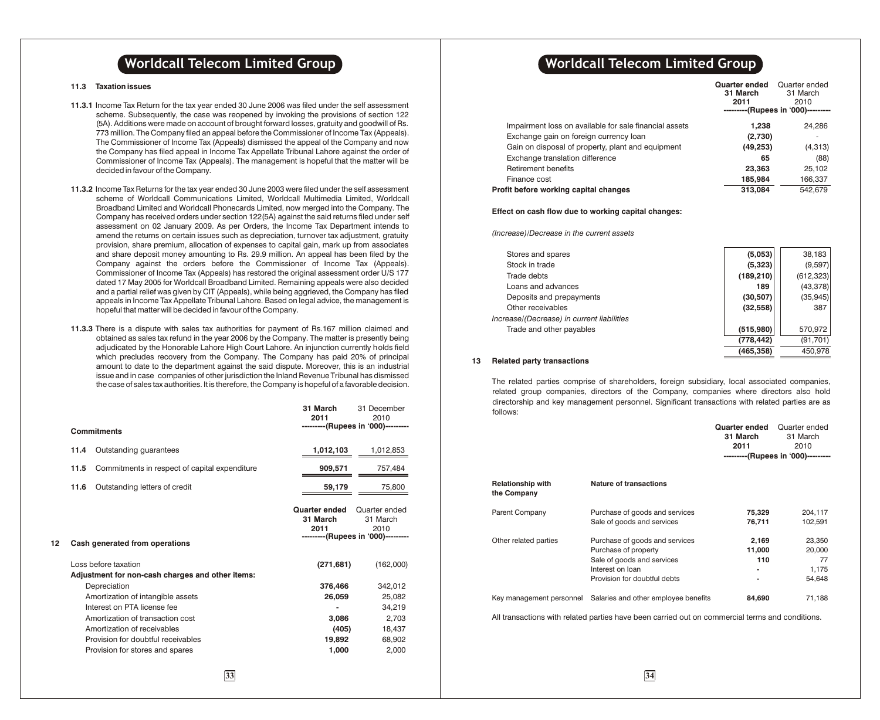#### **11.3 Taxation issues**

- **11.3.1** Income Tax Return for the tax year ended 30 June 2006 was filed under the self assessment scheme. Subsequently, the case was reopened by invoking the provisions of section 122 (5A). Additions were made on account of brought forward losses, gratuity and goodwill of Rs. 773 million. The Company filed an appeal before the Commissioner of Income Tax (Appeals). The Commissioner of Income Tax (Appeals) dismissed the appeal of the Company and now the Company has filed appeal in Income Tax Appellate Tribunal Lahore against the order of Commissioner of Income Tax (Appeals). The management is hopeful that the matter will be decided in favour of the Company.
- **11.3.2** Income Tax Returns for the tax year ended 30 June 2003 were filed under the self assessment scheme of Worldcall Communications Limited, Worldcall Multimedia Limited, Worldcall Broadband Limited and Worldcall Phonecards Limited, now merged into the Company. The Company has received orders under section 122(5A) against the said returns filed under self assessment on 02 January 2009. As per Orders, the Income Tax Department intends to amend the returns on certain issues such as depreciation, turnover tax adjustment, gratuity provision, share premium, allocation of expenses to capital gain, mark up from associates and share deposit money amounting to Rs. 29.9 million. An appeal has been filed by the Company against the orders before the Commissioner of Income Tax (Appeals). Commissioner of Income Tax (Appeals) has restored the original assessment order U/S 177 dated 17 May 2005 for Worldcall Broadband Limited. Remaining appeals were also decided and a partial relief was given by CIT (Appeals), while being aggrieved, the Company has filed appeals in Income Tax Appellate Tribunal Lahore. Based on legal advice, the management is hopeful that matter will be decided in favour of the Company.
- **11.3.3** There is a dispute with sales tax authorities for payment of Rs.167 million claimed and obtained as sales tax refund in the year 2006 by the Company. The matter is presently being adjudicated by the Honorable Lahore High Court Lahore. An injunction currently holds field which precludes recovery from the Company. The Company has paid 20% of principal amount to date to the department against the said dispute. Moreover, this is an industrial issue and in case companies of other jurisdiction the Inland Revenue Tribunal has dismissed the case of sales tax authorities. It is therefore, the Company is hopeful of a favorable decision.

|    |      | <b>Commitments</b>                                                                                                                                                                                                                                                                                       | 31 March<br>2011                                                     | 31 December<br>2010<br>---------(Rupees in '000)---------                      |
|----|------|----------------------------------------------------------------------------------------------------------------------------------------------------------------------------------------------------------------------------------------------------------------------------------------------------------|----------------------------------------------------------------------|--------------------------------------------------------------------------------|
|    | 11.4 | Outstanding guarantees                                                                                                                                                                                                                                                                                   | 1,012,103                                                            | 1,012,853                                                                      |
|    | 11.5 | Commitments in respect of capital expenditure                                                                                                                                                                                                                                                            | 909,571                                                              | 757,484                                                                        |
|    | 11.6 | Outstanding letters of credit                                                                                                                                                                                                                                                                            | 59,179                                                               | 75,800                                                                         |
| 12 |      | Cash generated from operations                                                                                                                                                                                                                                                                           | <b>Quarter ended</b><br>31 March<br>2011                             | Quarter ended<br>31 March<br>2010<br>---------(Rupees in '000)---------        |
|    |      | Loss before taxation<br>Adjustment for non-cash charges and other items:<br>Depreciation<br>Amortization of intangible assets<br>Interest on PTA license fee<br>Amortization of transaction cost<br>Amortization of receivables<br>Provision for doubtful receivables<br>Provision for stores and spares | (271, 681)<br>376,466<br>26,059<br>3,086<br>(405)<br>19,892<br>1,000 | (162,000)<br>342,012<br>25,082<br>34,219<br>2,703<br>18,437<br>68,902<br>2,000 |
|    |      |                                                                                                                                                                                                                                                                                                          |                                                                      |                                                                                |

# **Worldcall Telecom Limited Group Notationally related Worldcall Telecom Limited Group**

|                                                        | Quarter ended<br>31 March<br>2011 | Quarter ended<br>31 March<br>2010<br>---------(Rupees in '000)--------- |
|--------------------------------------------------------|-----------------------------------|-------------------------------------------------------------------------|
| Impairment loss on available for sale financial assets | 1.238                             | 24,286                                                                  |
| Exchange gain on foreign currency loan                 | (2,730)                           | ۰                                                                       |
| Gain on disposal of property, plant and equipment      | (49, 253)                         | (4,313)                                                                 |
| Exchange translation difference                        | 65                                | (88)                                                                    |
| Retirement benefits                                    | 23,363                            | 25.102                                                                  |
| Finance cost                                           | 185,984                           | 166,337                                                                 |
| Profit before working capital changes                  | 313,084                           | 542.679                                                                 |
|                                                        |                                   |                                                                         |

#### **Effect on cash flow due to working capital changes:**

*(Increase)/Decrease in the current assets*

| Stores and spares                          | (5,053)    | 38,183     |
|--------------------------------------------|------------|------------|
| Stock in trade                             | (5, 323)   | (9,597)    |
| Trade debts                                | (189, 210) | (612, 323) |
| Loans and advances                         | 189        | (43, 378)  |
| Deposits and prepayments                   | (30, 507)  | (35, 945)  |
| Other receivables                          | (32, 558)  | 387        |
| Increase/(Decrease) in current liabilities |            |            |
| Trade and other payables                   | (515,980)  | 570,972    |
|                                            | (778, 442) | (91, 701)  |
|                                            | (465,358)  | 450,978    |
|                                            |            |            |

#### **13 Related party transactions**

The related parties comprise of shareholders, foreign subsidiary, local associated companies, related group companies, directors of the Company, companies where directors also hold directorship and key management personnel. Significant transactions with related parties are as follows:

|                                         |                                                                                                                                                                                                                                | Quarter ended<br>31 March<br>2011 | Quarter ended<br>31 March<br>2010         |
|-----------------------------------------|--------------------------------------------------------------------------------------------------------------------------------------------------------------------------------------------------------------------------------|-----------------------------------|-------------------------------------------|
|                                         |                                                                                                                                                                                                                                |                                   | ---------(Rupees in '000)---------        |
| <b>Relationship with</b><br>the Company | <b>Nature of transactions</b>                                                                                                                                                                                                  |                                   |                                           |
| Parent Company                          | Purchase of goods and services<br>Sale of goods and services                                                                                                                                                                   | 75,329<br>76,711                  | 204,117<br>102,591                        |
| Other related parties                   | Purchase of goods and services<br>Purchase of property<br>Sale of goods and services<br>Interest on loan<br>Provision for doubtful debts                                                                                       | 2,169<br>11,000<br>110<br>٠<br>۰  | 23,350<br>20,000<br>77<br>1,175<br>54,648 |
| Key management personnel                | Salaries and other employee benefits                                                                                                                                                                                           | 84,690                            | 71,188                                    |
|                                         | records and the second contract of the contract of the contract of the contract of the contract of the contract of the contract of the contract of the contract of the contract of the contract of the contract of the contrac |                                   |                                           |

All transactions with related parties have been carried out on commercial terms and conditions.